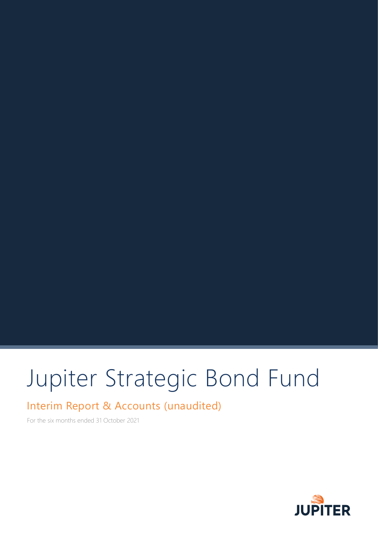# Jupiter Strategic Bond Fund

Interim Report & Accounts (unaudited)

For the six months ended 31 October 2021

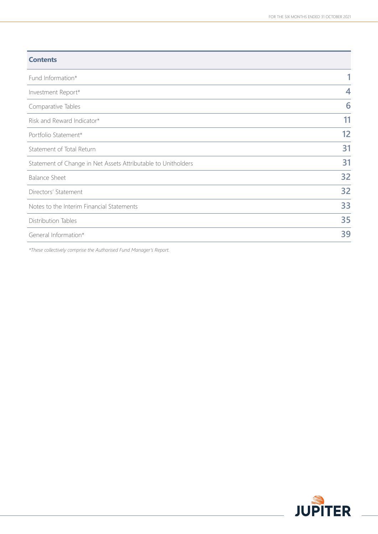| <b>Contents</b>                                               |    |
|---------------------------------------------------------------|----|
| Fund Information*                                             |    |
| Investment Report*                                            | 4  |
| Comparative Tables                                            | 6  |
| Risk and Reward Indicator*                                    | 11 |
| Portfolio Statement*                                          | 12 |
| Statement of Total Return                                     | 31 |
| Statement of Change in Net Assets Attributable to Unitholders | 31 |
| <b>Balance Sheet</b>                                          | 32 |
| Directors' Statement                                          | 32 |
| Notes to the Interim Financial Statements                     | 33 |
| Distribution Tables                                           | 35 |
| General Information*                                          | 39 |

*[\\*These collectively comprise the Authorised Fund Manager's Report.](#page-41-0)*

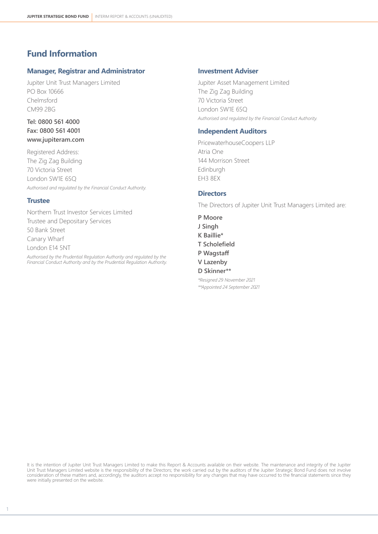### <span id="page-3-0"></span>**Fund Information**

#### **Manager, Registrar and Administrator**

Jupiter Unit Trust Managers Limited PO Box 10666 Chelmsford CM99 2BG

#### **Tel: 0800 561 4000 Fax: 0800 561 4001 www.jupiteram.com**

Registered Address: The Zig Zag Building 70 Victoria Street London SW1E 6SQ *Authorised and regulated by the Financial Conduct Authority.* 

#### **Trustee**

Northern Trust Investor Services Limited Trustee and Depositary Services 50 Bank Street Canary Wharf London E14 5NT

*Authorised by the Prudential Regulation Authority and regulated by the Financial Conduct Authority and by the Prudential Regulation Authority.*

#### **Investment Adviser**

Jupiter Asset Management Limited The Zig Zag Building 70 Victoria Street London SW1E 6SQ *Authorised and regulated by the Financial Conduct Authority.* 

#### **Independent Auditors**

PricewaterhouseCoopers LLP Atria One 144 Morrison Street **Edinburgh** EH3 8EX

#### **Directors**

The Directors of Jupiter Unit Trust Managers Limited are:

- **P Moore J Singh K Baillie\* T Scholefield P Wagstaff**
- **V Lazenby**
- **D Skinner\*\***

*\*Resigned 29 November 2021 \*\*Appointed 24 September 2021*

It is the intention of Jupiter Unit Trust Managers Limited to make this Report & Accounts available on their website. The maintenance and integrity of the Jupiter Unit Trust Managers Limited website is the responsibility of the Directors; the work carried out by the auditors of the Jupiter Strategic Bond Fund does not involve consideration of these matters and, accordingly, the auditors accept no responsibility for any changes that may have occurred to the financial statements since they were initially presented on the website.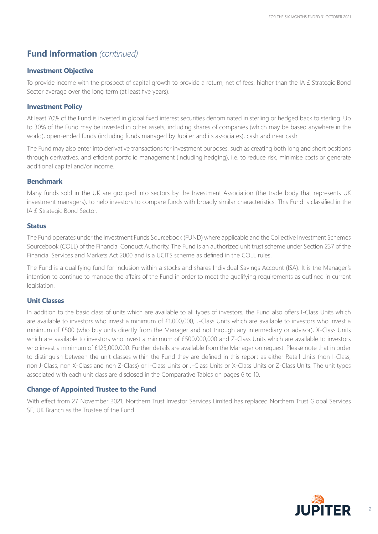### **Fund Information** *(continued)*

#### **Investment Objective**

To provide income with the prospect of capital growth to provide a return, net of fees, higher than the IA  $E$  Strategic Bond Sector average over the long term (at least five years).

#### **Investment Policy**

At least 70% of the Fund is invested in global fixed interest securities denominated in sterling or hedged back to sterling. Up to 30% of the Fund may be invested in other assets, including shares of companies (which may be based anywhere in the world), open-ended funds (including funds managed by Jupiter and its associates), cash and near cash.

The Fund may also enter into derivative transactions for investment purposes, such as creating both long and short positions through derivatives, and efficient portfolio management (including hedging), i.e. to reduce risk, minimise costs or generate additional capital and/or income.

#### **Benchmark**

Many funds sold in the UK are grouped into sectors by the Investment Association (the trade body that represents UK investment managers), to help investors to compare funds with broadly similar characteristics. This Fund is classified in the IA £ Strategic Bond Sector.

#### **Status**

The Fund operates under the Investment Funds Sourcebook (FUND) where applicable and the Collective Investment Schemes Sourcebook (COLL) of the Financial Conduct Authority. The Fund is an authorized unit trust scheme under Section 237 of the Financial Services and Markets Act 2000 and is a UCITS scheme as defined in the COLL rules.

The Fund is a qualifying fund for inclusion within a stocks and shares Individual Savings Account (ISA). It is the Manager's intention to continue to manage the affairs of the Fund in order to meet the qualifying requirements as outlined in current legislation.

#### **Unit Classes**

In addition to the basic class of units which are available to all types of investors, the Fund also offers I-Class Units which are available to investors who invest a minimum of £1,000,000, J-Class Units which are available to investors who invest a minimum of £500 (who buy units directly from the Manager and not through any intermediary or advisor), X-Class Units which are available to investors who invest a minimum of £500,000,000 and Z-Class Units which are available to investors who invest a minimum of £125,000,000. Further details are available from the Manager on request. Please note that in order to distinguish between the unit classes within the Fund they are defined in this report as either Retail Units (non I-Class, non J-Class, non X-Class and non Z-Class) or I-Class Units or J-Class Units or X-Class Units or Z-Class Units. The unit types associated with each unit class are disclosed in the Comparative Tables on pages 6 to 10.

#### **Change of Appointed Trustee to the Fund**

With effect from 27 November 2021, Northern Trust Investor Services Limited has replaced Northern Trust Global Services SE, UK Branch as the Trustee of the Fund.

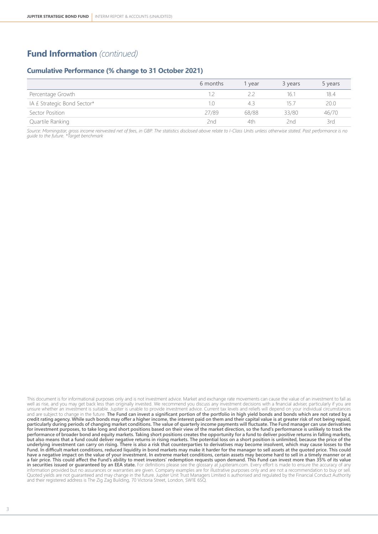### **Fund Information** *(continued)*

#### **Cumulative Performance (% change to 31 October 2021)**

|                             | 6 months | vear  | 3 years | 5 years |
|-----------------------------|----------|-------|---------|---------|
| Percentage Growth           |          |       | 16.7    | 18.4    |
| IA £ Strategic Bond Sector* | 1.0      | 43    | 157     | 20.0    |
| Sector Position             | 27/89    | 68/88 | 33/80   | 46/70   |
| Quartile Ranking            | 2nd      | 4th   | 2nd     | 3rd     |

*Source: Morningstar, gross income reinvested net of fees, in GBP. The statistics disclosed above relate to I-Class Units unless otherwise stated. Past performance is no guide to the future. \*Target benchmark*

This document is for informational purposes only and is not investment advice. Market and exchange rate movements can cause the value of an investment to fall as well as rise, and you may get back less than originally invested. We recommend you discuss any investment decisions with a financial adviser, particularly if you are unsure whether an investment is suitable. Jupiter is unable to provide investment advice. Current tax levels and reliefs will depend on your individual circumstances and are subject to change in the future. The Fund can invest a significant portion of the portfolio in high yield bonds and bonds which are not rated by a **credit rating agency. While such bonds may offer a higher income, the interest paid on them and their capital value is at greater risk of not being repaid, particularly during periods of changing market conditions. The value of quarterly income payments will fluctuate. The Fund manager can use derivatives for investment purposes, to take long and short positions based on their view of the market direction, so the fund's performance is unlikely to track the performance of broader bond and equity markets. Taking short positions creates the opportunity for a fund to deliver positive returns in falling markets, but also means that a fund could deliver negative returns in rising markets. The potential loss on a short position is unlimited, because the price of the underlying investment can carry on rising. There is also a risk that counterparties to derivatives may become insolvent, which may cause losses to the Fund. In difficult market conditions, reduced liquidity in bond markets may make it harder for the manager to sell assets at the quoted price. This could have a negative impact on the value of your investment. In extreme market conditions, certain assets may become hard to sell in a timely manner or at a fair price. This could affect the Fund's ability to meet investors' redemption requests upon demand. This Fund can invest more than 35% of its value<br>in securities issued or guaranteed by an EEA state.** For definitions p Quoted yields are not guaranteed and may change in the future. Jupiter Unit Trust Managers Limited is authorised and regulated by the Financial Conduct Authority and their registered address is The Zig Zag Building, 70 Victoria Street, London, SW1E 6SQ.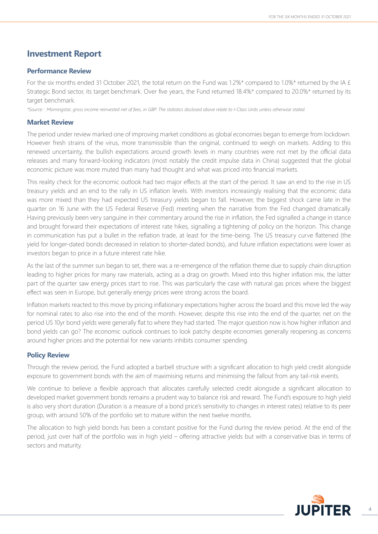### <span id="page-6-0"></span>**Investment Report**

#### **Performance Review**

For the six months ended 31 October 2021, the total return on the Fund was 1.2%\* compared to 1.0%\* returned by the IA  $E$ Strategic Bond sector, its target benchmark. Over five years, the Fund returned 18.4%\* compared to 20.0%\* returned by its target benchmark.

*\*Source: : Morningstar, gross income reinvested net of fees, in GBP. The statistics disclosed above relate to I-Class Units unless otherwise stated.*

#### **Market Review**

The period under review marked one of improving market conditions as global economies began to emerge from lockdown. However fresh strains of the virus, more transmissible than the original, continued to weigh on markets. Adding to this renewed uncertainty, the bullish expectations around growth levels in many countries were not met by the official data releases and many forward-looking indicators (most notably the credit impulse data in China) suggested that the global economic picture was more muted than many had thought and what was priced into financial markets.

This reality check for the economic outlook had two major effects at the start of the period. It saw an end to the rise in US treasury yields and an end to the rally in US inflation levels. With investors increasingly realising that the economic data was more mixed than they had expected US treasury yields began to fall. However, the biggest shock came late in the quarter on 16 June with the US Federal Reserve (Fed) meeting when the narrative from the Fed changed dramatically. Having previously been very sanguine in their commentary around the rise in inflation, the Fed signalled a change in stance and brought forward their expectations of interest rate hikes, signalling a tightening of policy on the horizon. This change in communication has put a bullet in the reflation trade, at least for the time-being. The US treasury curve flattened (the yield for longer-dated bonds decreased in relation to shorter-dated bonds), and future inflation expectations were lower as investors began to price in a future interest rate hike.

As the last of the summer sun began to set, there was a re-emergence of the reflation theme due to supply chain disruption leading to higher prices for many raw materials, acting as a drag on growth. Mixed into this higher inflation mix, the latter part of the quarter saw energy prices start to rise. This was particularly the case with natural gas prices where the biggest effect was seen in Europe, but generally energy prices were strong across the board.

Inflation markets reacted to this move by pricing inflationary expectations higher across the board and this move led the way for nominal rates to also rise into the end of the month. However, despite this rise into the end of the quarter, net on the period US 10yr bond yields were generally flat to where they had started. The major question now is how higher inflation and bond yields can go? The economic outlook continues to look patchy despite economies generally reopening as concerns around higher prices and the potential for new variants inhibits consumer spending.

#### **Policy Review**

Through the review period, the Fund adopted a barbell structure with a significant allocation to high yield credit alongside exposure to government bonds with the aim of maximising returns and minimising the fallout from any tail-risk events.

We continue to believe a flexible approach that allocates carefully selected credit alongside a significant allocation to developed market government bonds remains a prudent way to balance risk and reward. The Fund's exposure to high yield is also very short duration (Duration is a measure of a bond price's sensitivity to changes in interest rates) relative to its peer group, with around 50% of the portfolio set to mature within the next twelve months.

The allocation to high yield bonds has been a constant positive for the Fund during the review period. At the end of the period, just over half of the portfolio was in high yield – offering attractive yields but with a conservative bias in terms of sectors and maturity.

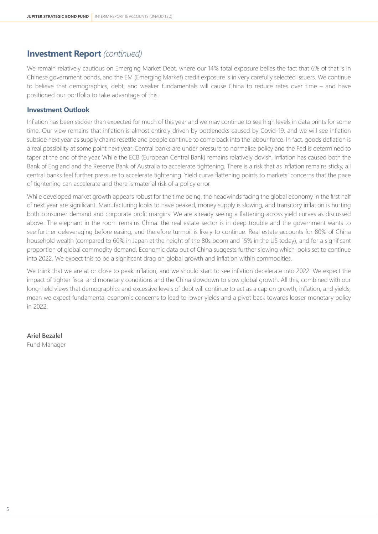### **Investment Report** *(continued)*

We remain relatively cautious on Emerging Market Debt, where our 14% total exposure belies the fact that 6% of that is in Chinese government bonds, and the EM (Emerging Market) credit exposure is in very carefully selected issuers. We continue to believe that demographics, debt, and weaker fundamentals will cause China to reduce rates over time – and have positioned our portfolio to take advantage of this.

#### **Investment Outlook**

Inflation has been stickier than expected for much of this year and we may continue to see high levels in data prints for some time. Our view remains that inflation is almost entirely driven by bottlenecks caused by Covid-19, and we will see inflation subside next year as supply chains resettle and people continue to come back into the labour force. In fact, goods deflation is a real possibility at some point next year. Central banks are under pressure to normalise policy and the Fed is determined to taper at the end of the year. While the ECB (European Central Bank) remains relatively dovish, inflation has caused both the Bank of England and the Reserve Bank of Australia to accelerate tightening. There is a risk that as inflation remains sticky, all central banks feel further pressure to accelerate tightening. Yield curve flattening points to markets' concerns that the pace of tightening can accelerate and there is material risk of a policy error.

While developed market growth appears robust for the time being, the headwinds facing the global economy in the first half of next year are significant. Manufacturing looks to have peaked, money supply is slowing, and transitory inflation is hurting both consumer demand and corporate profit margins. We are already seeing a flattening across yield curves as discussed above. The elephant in the room remains China: the real estate sector is in deep trouble and the government wants to see further deleveraging before easing, and therefore turmoil is likely to continue. Real estate accounts for 80% of China household wealth (compared to 60% in Japan at the height of the 80s boom and 15% in the US today), and for a significant proportion of global commodity demand. Economic data out of China suggests further slowing which looks set to continue into 2022. We expect this to be a significant drag on global growth and inflation within commodities.

We think that we are at or close to peak inflation, and we should start to see inflation decelerate into 2022. We expect the impact of tighter fiscal and monetary conditions and the China slowdown to slow global growth. All this, combined with our long-held views that demographics and excessive levels of debt will continue to act as a cap on growth, inflation, and yields, mean we expect fundamental economic concerns to lead to lower yields and a pivot back towards looser monetary policy in 2022.

#### **Ariel Bezalel**

Fund Manager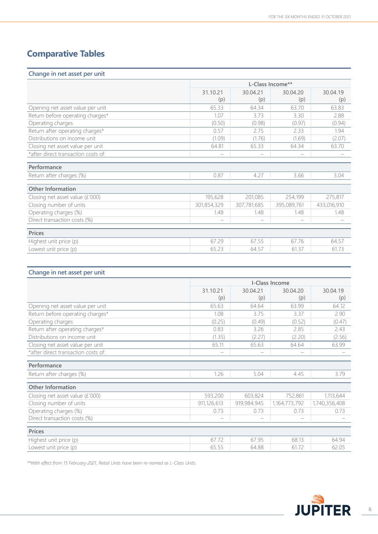# <span id="page-8-0"></span>**Comparative Tables**

| Change in net asset per unit        |             |                   |                          |             |  |
|-------------------------------------|-------------|-------------------|--------------------------|-------------|--|
|                                     |             | L-Class Income**  |                          |             |  |
|                                     | 31.10.21    | 30.04.21          | 30.04.20                 | 30.04.19    |  |
|                                     | (p)         | (p)               | (p)                      | (p)         |  |
| Opening net asset value per unit    | 65.33       | 64.34             | 63.70                    | 63.83       |  |
| Return before operating charges*    | 1.07        | 3.73              | 3.30                     | 2.88        |  |
| Operating charges                   | (0.50)      | (0.98)            | (0.97)                   | (0.94)      |  |
| Return after operating charges*     | 0.57        | 2.75              | 2.33                     | 1.94        |  |
| Distributions on income unit        | (1.09)      | (1.76)            | (1.69)                   | (2.07)      |  |
| Closing net asset value per unit    | 64.81       | 65.33             | 64.34                    | 63.70       |  |
| *after direct transaction costs of: |             | $\qquad \qquad -$ |                          |             |  |
|                                     |             |                   |                          |             |  |
| Performance                         |             |                   |                          |             |  |
| Return after charges (%)            | 0.87        | 4.27              | 3.66                     | 3.04        |  |
| <b>Other Information</b>            |             |                   |                          |             |  |
| Closing net asset value (£'000)     | 195,628     | 201,085           | 254,199                  | 275,817     |  |
| Closing number of units             | 301,854,329 | 307,781,685       | 395,089,761              | 433,016,910 |  |
| Operating charges (%)               | 1.48        | 1.48              | 1.48                     | 1.48        |  |
| Direct transaction costs (%)        | -           | -                 | $\overline{\phantom{a}}$ |             |  |
| <b>Prices</b>                       |             |                   |                          |             |  |
| Highest unit price (p)              | 67.29       | 67.55             | 67.76                    | 64.57       |  |
| Lowest unit price (p)               | 65.23       | 64.57             | 61.37                    | 61.73       |  |
|                                     |             |                   |                          |             |  |

### **Change in net asset per unit**

|                                     | I-Class Income           |                          |                                       |               |
|-------------------------------------|--------------------------|--------------------------|---------------------------------------|---------------|
|                                     | 31.10.21                 | 30.04.21                 | 30.04.20                              | 30.04.19      |
|                                     | (p)                      | (p)                      | (p)                                   | (p)           |
| Opening net asset value per unit    | 65.63                    | 64.64                    | 63.99                                 | 64.12         |
| Return before operating charges*    | 1.08                     | 3.75                     | 3.37                                  | 2.90          |
| Operating charges                   | (0.25)                   | (0.49)                   | (0.52)                                | (0.47)        |
| Return after operating charges*     | 0.83                     | 3.26                     | 2.85                                  | 2.43          |
| Distributions on income unit        | (1.35)                   | (2.27)                   | (2.20)                                | (2.56)        |
| Closing net asset value per unit    | 65.11                    | 65.63                    | 64.64                                 | 63.99         |
| *after direct transaction costs of: | -                        | $\overline{\phantom{m}}$ | $\hspace{1.0cm} \rule{1.5cm}{0.15cm}$ |               |
|                                     |                          |                          |                                       |               |
| Performance                         |                          |                          |                                       |               |
| Return after charges (%)            | 1.26                     | 5.04                     | 4.45                                  | 3.79          |
| <b>Other Information</b>            |                          |                          |                                       |               |
| Closing net asset value $(E'000)$   | 593,200                  | 603,824                  | 752,861                               | 1,113,644     |
| Closing number of units             | 911,126,613              | 919,984,945              | 1,164,773,792                         | 1,740,356,408 |
| Operating charges (%)               | 0.73                     | 0.73                     | 0.73                                  | 0.73          |
| Direct transaction costs (%)        | $\overline{\phantom{a}}$ | $\overline{\phantom{0}}$ | -                                     |               |
|                                     |                          |                          |                                       |               |
| Prices                              |                          |                          |                                       |               |
| Highest unit price (p)              | 67.72                    | 67.95                    | 68.13                                 | 64.94         |
| Lowest unit price (p)               | 65.55                    | 64.88                    | 61.72                                 | 62.05         |

*\*\*With effect from 15 February 2021, Retail Units have been re-named as L-Class Units.* 

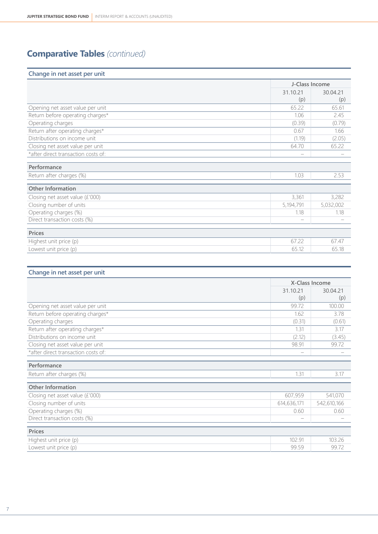| Change in net asset per unit        |                 |                 |
|-------------------------------------|-----------------|-----------------|
|                                     | J-Class Income  |                 |
|                                     | 31.10.21<br>(p) | 30.04.21<br>(p) |
| Opening net asset value per unit    | 65.22           | 65.61           |
| Return before operating charges*    | 1.06            | 2.45            |
| Operating charges                   | (0.39)          | (0.79)          |
| Return after operating charges*     | 0.67            | 1.66            |
| Distributions on income unit        | (1.19)          | (2.05)          |
| Closing net asset value per unit    | 64.70           | 65.22           |
| *after direct transaction costs of: |                 |                 |
| Performance                         |                 |                 |
| Return after charges (%)            | 1.03            | 2.53            |
| <b>Other Information</b>            |                 |                 |
| Closing net asset value (£'000)     | 3,361           | 3,282           |
| Closing number of units             | 5,194,791       | 5,032,002       |
| Operating charges (%)               | 1.18            | 1.18            |
| Direct transaction costs (%)        |                 |                 |
| <b>Prices</b>                       |                 |                 |
| Highest unit price (p)              | 67.22           | 67.47           |
| Lowest unit price (p)               | 65.12           | 65.18           |

### **Change in net asset per unit**

|                                     | X-Class Income           |                 |
|-------------------------------------|--------------------------|-----------------|
|                                     | 31.10.21<br>(p)          | 30.04.21<br>(p) |
| Opening net asset value per unit    | 99.72                    | 100.00          |
| Return before operating charges*    | 1.62                     | 3.78            |
| Operating charges                   | (0.31)                   | (0.61)          |
| Return after operating charges*     | 1.31                     | 3.17            |
| Distributions on income unit        | (2.12)                   | (3.45)          |
| Closing net asset value per unit    | 98.91                    | 99.72           |
| *after direct transaction costs of: | $\overline{\phantom{a}}$ |                 |
| Performance                         |                          |                 |
| Return after charges (%)            | 1.31                     | 3.17            |
| <b>Other Information</b>            |                          |                 |
| Closing net asset value (£'000)     | 607,959                  | 541,070         |
| Closing number of units             | 614,636,171              | 542,610,166     |
| Operating charges (%)               | 0.60                     | 0.60            |
| Direct transaction costs (%)        |                          |                 |
| <b>Prices</b>                       |                          |                 |
| Highest unit price (p)              | 102.91                   | 103.26          |
| Lowest unit price (p)               | 99.59                    | 99.72           |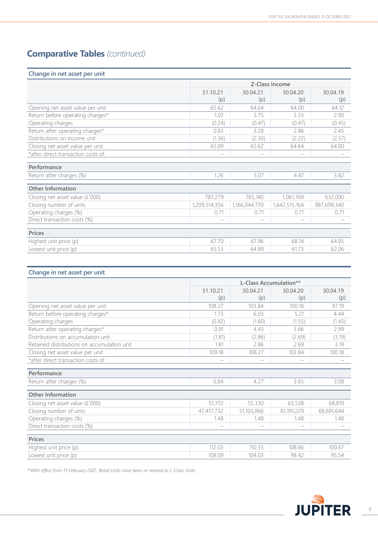| Change in net asset per unit        |                 |                          |                 |                 |  |
|-------------------------------------|-----------------|--------------------------|-----------------|-----------------|--|
|                                     |                 | Z-Class Income           |                 |                 |  |
|                                     | 31.10.21<br>(p) | 30.04.21<br>(p)          | 30.04.20<br>(p) | 30.04.19<br>(p) |  |
| Opening net asset value per unit    | 65.62           | 64.64                    | 64.00           | 64.12           |  |
| Return before operating charges*    | 1.07            | 3.75                     | 3.33            | 2.90            |  |
| Operating charges                   | (0.24)          | (0.47)                   | (0.47)          | (0.45)          |  |
| Return after operating charges*     | 0.83            | 3.28                     | 2.86            | 2.45            |  |
| Distributions on income unit        | (1.36)          | (2.30)                   | (2.22)          | (2.57)          |  |
| Closing net asset value per unit    | 65.09           | 65.62                    | 64.64           | 64.00           |  |
| *after direct transaction costs of: |                 | $\overline{\phantom{0}}$ |                 |                 |  |
| Performance                         |                 |                          |                 |                 |  |
| Return after charges (%)            | 1.26            | 5.07                     | 4.47            | 3.82            |  |
| <b>Other Information</b>            |                 |                          |                 |                 |  |
| Closing net asset value (£'000)     | 787,279         | 765,140                  | 1,061,769       | 632,090         |  |
| Closing number of units             | 1,209,514,356   | 1,166,044,770            | 1,642,515,164   | 987,699,340     |  |
| Operating charges (%)               | 0.71            | 0.71                     | 0.71            | 0.71            |  |
| Direct transaction costs (%)        |                 | -                        |                 |                 |  |
| Prices                              |                 |                          |                 |                 |  |
| Highest unit price (p)              | 67.70           | 67.96                    | 68.14           | 64.95           |  |
| Lowest unit price (p)               | 65.53           | 64.89                    | 61.73           | 62.06           |  |

### **Change in net asset per unit**

|                                             | L-Class Accumulation** |                   |            |            |
|---------------------------------------------|------------------------|-------------------|------------|------------|
|                                             | 31.10.21               | 30.04.21          | 30.04.20   | 30.04.19   |
|                                             | (p)                    | (p)               | (p)        | (p)        |
| Opening net asset value per unit            | 108.27                 | 103.84            | 100.18     | 97.19      |
| Return before operating charges*            | 1.73                   | 6.03              | 5.21       | 4.44       |
| Operating charges                           | (0.82)                 | (1.60)            | (1.55)     | (1.45)     |
| Return after operating charges*             | 0.91                   | 4.43              | 3.66       | 2.99       |
| Distributions on accumulation unit          | (1.81)                 | (2.86)            | (2.69)     | (3.19)     |
| Retained distributions on accumulation unit | 1.81                   | 2.86              | 2.69       | 3.19       |
| Closing net asset value per unit            | 109.18                 | 108.27            | 103.84     | 100.18     |
| *after direct transaction costs of:         |                        | $\qquad \qquad -$ |            |            |
|                                             |                        |                   |            |            |
| Performance                                 |                        |                   |            |            |
| Return after charges (%)                    | 0.84                   | 4.27              | 3.65       | 3.08       |
|                                             |                        |                   |            |            |
| Other Information                           |                        |                   |            |            |
| Closing net asset value (£'000)             | 51,772                 | 55,330            | 63,538     | 68,819     |
| Closing number of units                     | 47,417,732             | 51,103,866        | 61,191,229 | 68,691,644 |
| Operating charges (%)                       | 1.48                   | 1.48              | 1.48       | 1.48       |
| Direct transaction costs (%)                |                        |                   |            |            |
|                                             |                        |                   |            |            |
| <b>Prices</b>                               |                        |                   |            |            |
| Highest unit price (p)                      | 112.03                 | 110.35            | 108.66     | 100.67     |
| Lowest unit price (p)                       | 108.09                 | 104.03            | 98.42      | 95.54      |

*\*\*With effect from 15 February 2021, Retail Units have been re-named as L-Class Units.* 

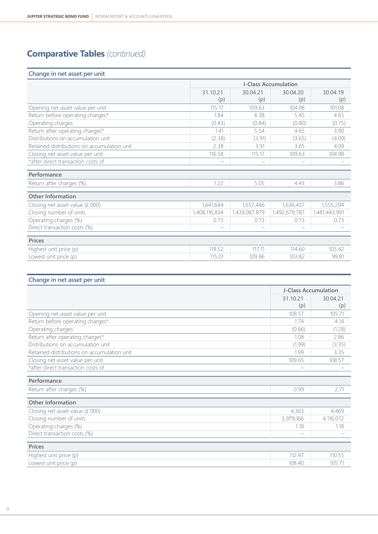| Change in net asset per unit                |                          |                             |                 |                 |  |
|---------------------------------------------|--------------------------|-----------------------------|-----------------|-----------------|--|
|                                             |                          | <b>I-Class Accumulation</b> |                 |                 |  |
|                                             | 31.10.21<br>(p)          | 30.04.21<br>(p)             | 30.04.20<br>(p) | 30.04.19<br>(p) |  |
| Opening net asset value per unit            | 115.17                   | 109.63                      | 104.98          | 101.08          |  |
| Return before operating charges*            | 1.84                     | 6.38                        | 5.45            | 4.65            |  |
| Operating charges                           | (0.43)                   | (0.84)                      | (0.80)          | (0.75)          |  |
| Return after operating charges*             | 1.41                     | 5.54                        | 4.65            | 3.90            |  |
| Distributions on accumulation unit          | (2.38)                   | (3.91)                      | (3.65)          | (4.09)          |  |
| Retained distributions on accumulation unit | 2.38                     | 3.91                        | 3.65            | 4.09            |  |
| Closing net asset value per unit            | 116.58                   | 115.17                      | 109.63          | 104.98          |  |
| *after direct transaction costs of:         | $\overline{\phantom{a}}$ | $\overline{\phantom{0}}$    |                 |                 |  |
|                                             |                          |                             |                 |                 |  |
| Performance                                 |                          |                             |                 |                 |  |
| Return after charges (%)                    | 1.22                     | 5.05                        | 4.43            | 3.86            |  |
| <b>Other Information</b>                    |                          |                             |                 |                 |  |
| Closing net asset value $(E'000)$           | 1,641,644                | 1,657,446                   | 1,636,437       | 1,555,294       |  |
| Closing number of units                     | 1,408,116,834            | 1,439,087,879               | 1,492,679,787   | 1,481,443,991   |  |
| Operating charges (%)                       | 0.73                     | 0.73                        | 0.73            | 0.73            |  |
| Direct transaction costs (%)                |                          |                             |                 |                 |  |
|                                             |                          |                             |                 |                 |  |
| <b>Prices</b>                               |                          |                             |                 |                 |  |
| Highest unit price (p)                      | 119.52                   | 117.11                      | 114.60          | 105.42          |  |
| Lowest unit price (p)                       | 115.01                   | 109.86                      | 103.82          | 99.81           |  |

#### **Change in net asset per unit**

|                                             | J-Class Accumulation            |                                 |
|---------------------------------------------|---------------------------------|---------------------------------|
|                                             | 31.10.21                        | 30.04.21                        |
|                                             | (p)                             | (p)                             |
| Opening net asset value per unit            | 108.57                          | 105.71                          |
| Return before operating charges*            | 1.74                            | 4.14                            |
| Operating charges                           | (0.66)                          | (1.28)                          |
| Return after operating charges*             | 1.08                            | 2.86                            |
| Distributions on accumulation unit          | (1.99)                          | (3.35)                          |
| Retained distributions on accumulation unit | 1.99                            | 3.35                            |
| Closing net asset value per unit            | 109.65                          | 108.57                          |
| *after direct transaction costs of:         | $\hspace{0.1mm}-\hspace{0.1mm}$ | $\hspace{0.1mm}-\hspace{0.1mm}$ |
|                                             |                                 |                                 |
| Performance                                 |                                 |                                 |
| Return after charges (%)                    | 0.99                            | 2.71                            |
| <b>Other Information</b>                    |                                 |                                 |
| Closing net asset value $(E'000)$           | 4,363                           | 4,469                           |
| Closing number of units                     | 3,979,166                       | 4,116,072                       |
| Operating charges (%)                       | 1.18                            | 1.18                            |
| Direct transaction costs (%)                |                                 |                                 |
|                                             |                                 |                                 |
| Prices                                      |                                 |                                 |
| Highest unit price (p)                      | 112.47                          | 110.55                          |
| Lowest unit price (p)                       | 108.40                          | 105.71                          |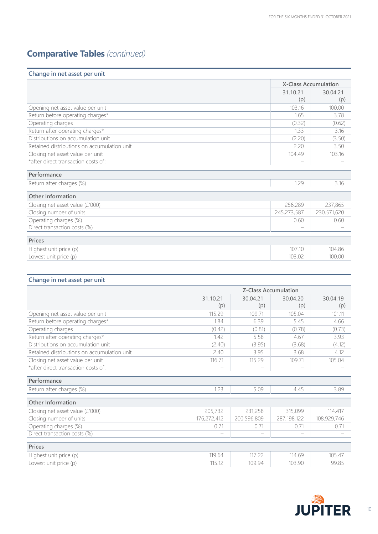| Change in net asset per unit                |                 |                             |
|---------------------------------------------|-----------------|-----------------------------|
|                                             |                 | <b>X-Class Accumulation</b> |
|                                             | 31.10.21<br>(p) | 30.04.21<br>(p)             |
| Opening net asset value per unit            | 103.16          | 100.00                      |
| Return before operating charges*            | 1.65            | 3.78                        |
| Operating charges                           | (0.32)          | (0.62)                      |
| Return after operating charges*             | 1.33            | 3.16                        |
| Distributions on accumulation unit          | (2.20)          | (3.50)                      |
| Retained distributions on accumulation unit | 2.20            | 3.50                        |
| Closing net asset value per unit            | 104.49          | 103.16                      |
| *after direct transaction costs of:         |                 |                             |
| Performance                                 |                 |                             |
| Return after charges (%)                    | 1.29            | 3.16                        |
| <b>Other Information</b>                    |                 |                             |
| Closing net asset value (£'000)             | 256,289         | 237,865                     |
| Closing number of units                     | 245,273,587     | 230,571,620                 |
| Operating charges (%)                       | 0.60            | 0.60                        |
| Direct transaction costs (%)                |                 |                             |
| Prices                                      |                 |                             |
| Highest unit price (p)                      | 107.10          | 104.86                      |
| Lowest unit price (p)                       | 103.02          | 100.00                      |

#### **Change in net asset per unit**

|                                             |             | <b>Z-Class Accumulation</b> |                                 |             |
|---------------------------------------------|-------------|-----------------------------|---------------------------------|-------------|
|                                             | 31.10.21    | 30.04.21                    | 30.04.20                        | 30.04.19    |
|                                             | (p)         | (p)                         | (p)                             | (p)         |
| Opening net asset value per unit            | 115.29      | 109.71                      | 105.04                          | 101.11      |
| Return before operating charges*            | 1.84        | 6.39                        | 5.45                            | 4.66        |
| Operating charges                           | (0.42)      | (0.81)                      | (0.78)                          | (0.73)      |
| Return after operating charges*             | 1.42        | 5.58                        | 4.67                            | 3.93        |
| Distributions on accumulation unit          | (2.40)      | (3.95)                      | (3.68)                          | (4.12)      |
| Retained distributions on accumulation unit | 2.40        | 3.95                        | 3.68                            | 4.12        |
| Closing net asset value per unit            | 116.71      | 115.29                      | 109.71                          | 105.04      |
| *after direct transaction costs of:         | -           | $\overline{\phantom{m}}$    | $\hspace{0.1mm}-\hspace{0.1mm}$ |             |
|                                             |             |                             |                                 |             |
| Performance                                 |             |                             |                                 |             |
| Return after charges (%)                    | 1.23        | 5.09                        | 4.45                            | 3.89        |
|                                             |             |                             |                                 |             |
| <b>Other Information</b>                    |             |                             |                                 |             |
| Closing net asset value $(E'000)$           | 205,732     | 231,258                     | 315,099                         | 114,417     |
| Closing number of units                     | 176,272,412 | 200,596,809                 | 287,198,122                     | 108,929,746 |
| Operating charges (%)                       | 0.71        | 0.71                        | 0.71                            | 0.71        |
| Direct transaction costs (%)                |             | $\qquad \qquad$             |                                 |             |
|                                             |             |                             |                                 |             |
| Prices                                      |             |                             |                                 |             |
| Highest unit price (p)                      | 119.64      | 117.22                      | 114.69                          | 105.47      |
| Lowest unit price (p)                       | 115.12      | 109.94                      | 103.90                          | 99.85       |

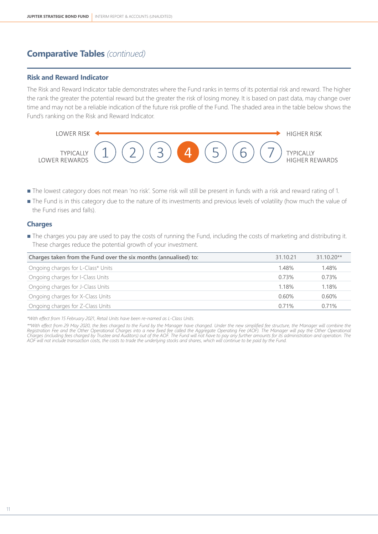#### <span id="page-13-0"></span>**Risk and Reward Indicator**

The Risk and Reward Indicator table demonstrates where the Fund ranks in terms of its potential risk and reward. The higher the rank the greater the potential reward but the greater the risk of losing money. It is based on past data, may change over time and may not be a reliable indication of the future risk profile of the Fund. The shaded area in the table below shows the Fund's ranking on the Risk and Reward Indicator.



- The lowest category does not mean 'no risk'. Some risk will still be present in funds with a risk and reward rating of 1.
- The Fund is in this category due to the nature of its investments and previous levels of volatility (how much the value of the Fund rises and falls).

#### **Charges**

 The charges you pay are used to pay the costs of running the Fund, including the costs of marketing and distributing it. These charges reduce the potential growth of your investment.

| 31.10.21 | $31.10.20**$ |
|----------|--------------|
| 1.48%    | 1.48%        |
| 0.73%    | 0.73%        |
| 1.18%    | 1.18%        |
| $0.60\%$ | 0.60%        |
| 0.71%    | 0.71%        |
|          |              |

*\*With effect from 15 February 2021, Retail Units have been re-named as L-Class Units.*

*\*\*With effect from 29 May 2020, the fees charged to the Fund by the Manager have changed. Under the new simplified fee structure, the Manager will combine the Registration Fee and the Other Operational Charges into a new fixed fee called the Aggregate Operating Fee (AOF). The Manager will pay the Other Operational Charges (including fees charged by Trustee and Auditors) out of the AOF. The Fund will not have to pay any further amounts for its administration and operation. The AOF will not include transaction costs, the costs to trade the underlying stocks and shares, which will continue to be paid by the Fund.*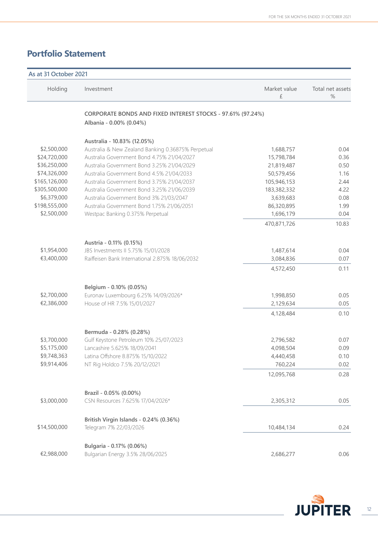### <span id="page-14-0"></span>**Portfolio Statement**

| Holding       | Investment                                                                                    | Market value<br>£ | Total net assets<br>$\%$ |
|---------------|-----------------------------------------------------------------------------------------------|-------------------|--------------------------|
|               | <b>CORPORATE BONDS AND FIXED INTEREST STOCKS - 97.61% (97.24%)</b><br>Albania - 0.00% (0.04%) |                   |                          |
|               | Australia - 10.83% (12.05%)                                                                   |                   |                          |
| \$2,500,000   | Australia & New Zealand Banking 0.36875% Perpetual                                            | 1,688,757         | 0.04                     |
| \$24,720,000  | Australia Government Bond 4.75% 21/04/2027                                                    | 15,798,784        | 0.36                     |
| \$36,250,000  | Australia Government Bond 3.25% 21/04/2029                                                    | 21,819,487        | 0.50                     |
| \$74,326,000  | Australia Government Bond 4.5% 21/04/2033                                                     | 50,579,456        | 1.16                     |
| \$165,126,000 | Australia Government Bond 3.75% 21/04/2037                                                    | 105,946,153       | 2.44                     |
| \$305,500,000 | Australia Government Bond 3.25% 21/06/2039                                                    | 183,382,332       | 4.22                     |
| \$6,379,000   | Australia Government Bond 3% 21/03/2047                                                       | 3,639,683         | 0.08                     |
| \$198,555,000 | Australia Government Bond 1.75% 21/06/2051                                                    | 86,320,895        | 1.99                     |
| \$2,500,000   | Westpac Banking 0.375% Perpetual                                                              | 1,696,179         | 0.04                     |
|               |                                                                                               | 470,871,726       | 10.83                    |
|               | Austria - 0.11% (0.15%)                                                                       |                   |                          |
| \$1,954,000   | JBS Investments II 5.75% 15/01/2028                                                           | 1,487,614         | 0.04                     |
| €3,400,000    | Raiffeisen Bank International 2.875% 18/06/2032                                               | 3,084,836         | 0.07                     |
|               |                                                                                               | 4,572,450         | 0.11                     |
|               | Belgium - 0.10% (0.05%)                                                                       |                   |                          |
| \$2,700,000   | Euronav Luxembourg 6.25% 14/09/2026*                                                          | 1,998,850         | 0.05                     |
| €2,386,000    | House of HR 7.5% 15/01/2027                                                                   | 2,129,634         | 0.05                     |
|               |                                                                                               | 4,128,484         | 0.10                     |
|               | Bermuda - 0.28% (0.28%)                                                                       |                   |                          |
| \$3,700,000   | Gulf Keystone Petroleum 10% 25/07/2023                                                        | 2,796,582         | 0.07                     |
| \$5,175,000   | Lancashire 5.625% 18/09/2041                                                                  | 4,098,504         | 0.09                     |
| \$9,748,363   | Latina Offshore 8.875% 15/10/2022                                                             | 4,440,458         | 0.10                     |
| \$9,914,406   | NT Rig Holdco 7.5% 20/12/2021                                                                 | 760,224           | 0.02                     |
|               |                                                                                               | 12,095,768        | 0.28                     |
|               | Brazil - 0.05% (0.00%)                                                                        |                   |                          |
| \$3,000,000   | CSN Resources 7.625% 17/04/2026*                                                              | 2,305,312         | 0.05                     |
|               | British Virgin Islands - 0.24% (0.36%)                                                        |                   |                          |
| \$14,500,000  | Telegram 7% 22/03/2026                                                                        | 10,484,134        | 0.24                     |
|               | Bulgaria - 0.17% (0.06%)                                                                      |                   |                          |
| €2,988,000    | Bulgarian Energy 3.5% 28/06/2025                                                              | 2,686,277         | 0.06                     |

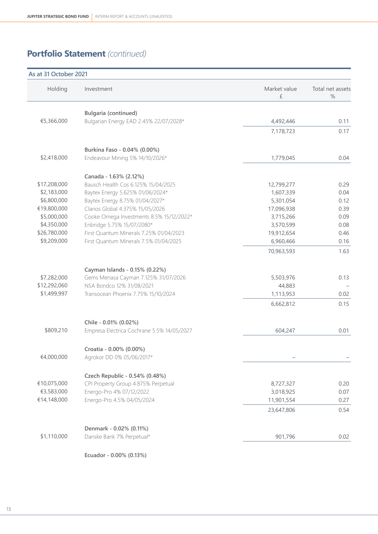#### **As at 31 October 2021**

| Holding      | Investment                                 | Market value<br>£ | Total net assets<br>$\%$ |
|--------------|--------------------------------------------|-------------------|--------------------------|
|              | <b>Bulgaria (continued)</b>                |                   |                          |
| €5,366,000   | Bulgarian Energy EAD 2.45% 22/07/2028*     | 4,492,446         | 0.11                     |
|              |                                            | 7,178,723         | 0.17                     |
|              | Burkina Faso - 0.04% (0.00%)               |                   |                          |
| \$2,418,000  | Endeavour Mining 5% 14/10/2026*            | 1,779,045         | 0.04                     |
|              | Canada - 1.63% (2.12%)                     |                   |                          |
| \$17,208,000 | Bausch Health Cos 6.125% 15/04/2025        | 12,799,277        | 0.29                     |
| \$2,183,000  | Baytex Energy 5.625% 01/06/2024*           | 1,607,339         | 0.04                     |
| \$6,800,000  | Baytex Energy 8.75% 01/04/2027*            | 5,301,054         | 0.12                     |
| €19,800,000  | Clarios Global 4.375% 15/05/2026           | 17,096,938        | 0.39                     |
| \$5,000,000  | Cooke Omega Investments 8.5% 15/12/2022*   | 3,715,266         | 0.09                     |
| \$4,350,000  | Enbridge 5.75% 15/07/2080*                 | 3,570,599         | 0.08                     |
| \$26,780,000 | First Quantum Minerals 7.25% 01/04/2023    | 19,912,654        | 0.46                     |
| \$9,209,000  | First Quantum Minerals 7.5% 01/04/2025     | 6,960,466         | 0.16                     |
|              |                                            | 70,963,593        | 1.63                     |
|              | Cayman Islands - 0.15% (0.22%)             |                   |                          |
| \$7,282,000  | Gems Menasa Cayman 7.125% 31/07/2026       | 5,503,976         | 0.13                     |
| \$12,292,060 | NSA Bondco 12% 31/08/2021                  | 44,883            |                          |
| \$1,499,997  | Transocean Phoenix 7.75% 15/10/2024        | 1,113,953         | 0.02                     |
|              |                                            | 6,662,812         | 0.15                     |
|              | Chile - 0.01% (0.02%)                      |                   |                          |
| \$809,210    | Empresa Electrica Cochrane 5.5% 14/05/2027 | 604,247           | 0.01                     |
|              | Croatia - 0.00% (0.00%)                    |                   |                          |
| €4,000,000   | Agrokor DD 0% 05/06/2017*                  |                   |                          |
|              | Czech Republic - 0.54% (0.48%)             |                   |                          |
| €10,075,000  | CPI Property Group 4.875% Perpetual        | 8,727,327         | 0.20                     |
| €3,583,000   | Energo-Pro 4% 07/12/2022                   | 3,018,925         | 0.07                     |
| €14,148,000  | Energo-Pro 4.5% 04/05/2024                 | 11,901,554        | 0.27                     |
|              |                                            | 23,647,806        | 0.54                     |
|              | Denmark - 0.02% (0.11%)                    |                   |                          |
| \$1,110,000  | Danske Bank 7% Perpetual*                  | 901,796           | 0.02                     |
|              |                                            |                   |                          |

**Ecuador** - **0.00% (0.13%)**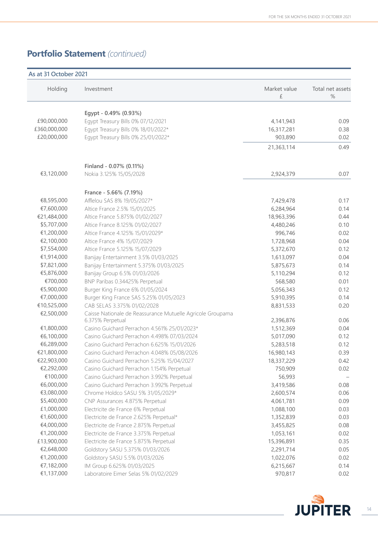| Egypt - 0.49% (0.93%)<br>£90,000,000<br>Egypt Treasury Bills 0% 07/12/2021<br>4,141,943<br>0.09<br>£360,000,000<br>Egypt Treasury Bills 0% 18/01/2022*<br>16,317,281<br>0.38<br>£20,000,000<br>Egypt Treasury Bills 0% 25/01/2022*<br>903,890<br>0.02<br>21,363,114<br>0.49<br>Finland - 0.07% (0.11%)<br>€3,120,000<br>Nokia 3.125% 15/05/2028<br>2,924,379<br>0.07<br>France - 5.66% (7.19%)<br>€8,595,000<br>Afflelou SAS 8% 19/05/2027*<br>7,429,478<br>0.17<br>€7,600,000<br>Altice France 2.5% 15/01/2025<br>6,284,964<br>0.14<br>€21,484,000<br>Altice France 5.875% 01/02/2027<br>18,963,396<br>0.44<br>\$5,707,000<br>Altice France 8.125% 01/02/2027<br>4,480,246<br>0.10<br>€1,200,000<br>Altice France 4.125% 15/01/2029*<br>996,746<br>0.02<br>€2,100,000<br>Altice France 4% 15/07/2029<br>1,728,968<br>0.04<br>\$7,554,000<br>Altice France 5.125% 15/07/2029<br>5,372,670<br>0.12<br>€1,914,000<br>Banijay Entertainment 3.5% 01/03/2025<br>1,613,097<br>0.04<br>\$7,821,000<br>Banijay Entertainment 5.375% 01/03/2025<br>5,875,673<br>0.14<br>€5,876,000<br>Banijay Group 6.5% 01/03/2026<br>5,110,294<br>0.12<br>€700,000<br>BNP Paribas 0.34425% Perpetual<br>568,580<br>0.01<br>€5,900,000<br>Burger King France 6% 01/05/2024<br>5,056,343<br>0.12<br>€7,000,000<br>Burger King France SAS 5.25% 01/05/2023<br>5,910,395<br>0.14<br>€10,525,000<br>CAB SELAS 3.375% 01/02/2028<br>8,831,533<br>0.20<br>€2,500,000<br>Caisse Nationale de Reassurance Mutuelle Agricole Groupama<br>2,396,876<br>0.06<br>6.375% Perpetual<br>€1,800,000<br>Casino Guichard Perrachon 4.561% 25/01/2023*<br>1,512,369<br>0.04<br>€6,100,000<br>Casino Guichard Perrachon 4.498% 07/03/2024<br>5,017,090<br>0.12<br>€6,289,000<br>Casino Guichard Perrachon 6.625% 15/01/2026<br>5,283,518<br>0.12<br>€21,800,000<br>Casino Guichard Perrachon 4.048% 05/08/2026<br>16,980,143<br>0.39<br>€22,903,000<br>18,337,229<br>0.42<br>Casino Guichard Perrachon 5.25% 15/04/2027<br>€2,292,000<br>Casino Guichard Perrachon 1.154% Perpetual<br>750,909<br>0.02<br>€100,000<br>Casino Guichard Perrachon 3.992% Perpetual<br>56,993<br>€6,000,000<br>Casino Guichard Perrachon 3.992% Perpetual<br>3,419,586<br>0.08<br>€3,080,000<br>Chrome Holdco SASU 5% 31/05/2029*<br>2,600,574<br>0.06<br>\$5,400,000<br>CNP Assurances 4.875% Perpetual<br>4,061,781<br>0.09<br>£1,000,000<br>Electricite de France 6% Perpetual<br>1,088,100<br>0.03<br>€1,600,000<br>Electricite de France 2.625% Perpetual*<br>1,352,839<br>0.03<br>€4,000,000<br>Electricite de France 2.875% Perpetual<br>0.08<br>3,455,825<br>€1,200,000<br>Electricite de France 3.375% Perpetual<br>0.02<br>1,053,161<br>£13,900,000<br>Electricite de France 5.875% Perpetual<br>15,396,891<br>0.35<br>€2,648,000<br>0.05<br>Goldstory SASU 5.375% 01/03/2026<br>2,291,714<br>€1,200,000<br>Goldstory SASU 5.5% 01/03/2026<br>0.02<br>1,022,076<br>€7,182,000<br>IM Group 6.625% 01/03/2025<br>6,215,667<br>0.14<br>€1,137,000<br>Laboratoire Eimer Selas 5% 01/02/2029<br>970,817<br>0.02 | Holding | Investment | Market value<br>£ | Total net assets<br>$\%$ |
|--------------------------------------------------------------------------------------------------------------------------------------------------------------------------------------------------------------------------------------------------------------------------------------------------------------------------------------------------------------------------------------------------------------------------------------------------------------------------------------------------------------------------------------------------------------------------------------------------------------------------------------------------------------------------------------------------------------------------------------------------------------------------------------------------------------------------------------------------------------------------------------------------------------------------------------------------------------------------------------------------------------------------------------------------------------------------------------------------------------------------------------------------------------------------------------------------------------------------------------------------------------------------------------------------------------------------------------------------------------------------------------------------------------------------------------------------------------------------------------------------------------------------------------------------------------------------------------------------------------------------------------------------------------------------------------------------------------------------------------------------------------------------------------------------------------------------------------------------------------------------------------------------------------------------------------------------------------------------------------------------------------------------------------------------------------------------------------------------------------------------------------------------------------------------------------------------------------------------------------------------------------------------------------------------------------------------------------------------------------------------------------------------------------------------------------------------------------------------------------------------------------------------------------------------------------------------------------------------------------------------------------------------------------------------------------------------------------------------------------------------------------------------------------------------------------------------------------------------------------------------------------------------------------------------------------------------------------------------------------------------------------------------------------------------------|---------|------------|-------------------|--------------------------|
|                                                                                                                                                                                                                                                                                                                                                                                                                                                                                                                                                                                                                                                                                                                                                                                                                                                                                                                                                                                                                                                                                                                                                                                                                                                                                                                                                                                                                                                                                                                                                                                                                                                                                                                                                                                                                                                                                                                                                                                                                                                                                                                                                                                                                                                                                                                                                                                                                                                                                                                                                                                                                                                                                                                                                                                                                                                                                                                                                                                                                                                        |         |            |                   |                          |
|                                                                                                                                                                                                                                                                                                                                                                                                                                                                                                                                                                                                                                                                                                                                                                                                                                                                                                                                                                                                                                                                                                                                                                                                                                                                                                                                                                                                                                                                                                                                                                                                                                                                                                                                                                                                                                                                                                                                                                                                                                                                                                                                                                                                                                                                                                                                                                                                                                                                                                                                                                                                                                                                                                                                                                                                                                                                                                                                                                                                                                                        |         |            |                   |                          |
|                                                                                                                                                                                                                                                                                                                                                                                                                                                                                                                                                                                                                                                                                                                                                                                                                                                                                                                                                                                                                                                                                                                                                                                                                                                                                                                                                                                                                                                                                                                                                                                                                                                                                                                                                                                                                                                                                                                                                                                                                                                                                                                                                                                                                                                                                                                                                                                                                                                                                                                                                                                                                                                                                                                                                                                                                                                                                                                                                                                                                                                        |         |            |                   |                          |
|                                                                                                                                                                                                                                                                                                                                                                                                                                                                                                                                                                                                                                                                                                                                                                                                                                                                                                                                                                                                                                                                                                                                                                                                                                                                                                                                                                                                                                                                                                                                                                                                                                                                                                                                                                                                                                                                                                                                                                                                                                                                                                                                                                                                                                                                                                                                                                                                                                                                                                                                                                                                                                                                                                                                                                                                                                                                                                                                                                                                                                                        |         |            |                   |                          |
|                                                                                                                                                                                                                                                                                                                                                                                                                                                                                                                                                                                                                                                                                                                                                                                                                                                                                                                                                                                                                                                                                                                                                                                                                                                                                                                                                                                                                                                                                                                                                                                                                                                                                                                                                                                                                                                                                                                                                                                                                                                                                                                                                                                                                                                                                                                                                                                                                                                                                                                                                                                                                                                                                                                                                                                                                                                                                                                                                                                                                                                        |         |            |                   |                          |
|                                                                                                                                                                                                                                                                                                                                                                                                                                                                                                                                                                                                                                                                                                                                                                                                                                                                                                                                                                                                                                                                                                                                                                                                                                                                                                                                                                                                                                                                                                                                                                                                                                                                                                                                                                                                                                                                                                                                                                                                                                                                                                                                                                                                                                                                                                                                                                                                                                                                                                                                                                                                                                                                                                                                                                                                                                                                                                                                                                                                                                                        |         |            |                   |                          |
|                                                                                                                                                                                                                                                                                                                                                                                                                                                                                                                                                                                                                                                                                                                                                                                                                                                                                                                                                                                                                                                                                                                                                                                                                                                                                                                                                                                                                                                                                                                                                                                                                                                                                                                                                                                                                                                                                                                                                                                                                                                                                                                                                                                                                                                                                                                                                                                                                                                                                                                                                                                                                                                                                                                                                                                                                                                                                                                                                                                                                                                        |         |            |                   |                          |
|                                                                                                                                                                                                                                                                                                                                                                                                                                                                                                                                                                                                                                                                                                                                                                                                                                                                                                                                                                                                                                                                                                                                                                                                                                                                                                                                                                                                                                                                                                                                                                                                                                                                                                                                                                                                                                                                                                                                                                                                                                                                                                                                                                                                                                                                                                                                                                                                                                                                                                                                                                                                                                                                                                                                                                                                                                                                                                                                                                                                                                                        |         |            |                   |                          |
|                                                                                                                                                                                                                                                                                                                                                                                                                                                                                                                                                                                                                                                                                                                                                                                                                                                                                                                                                                                                                                                                                                                                                                                                                                                                                                                                                                                                                                                                                                                                                                                                                                                                                                                                                                                                                                                                                                                                                                                                                                                                                                                                                                                                                                                                                                                                                                                                                                                                                                                                                                                                                                                                                                                                                                                                                                                                                                                                                                                                                                                        |         |            |                   |                          |
|                                                                                                                                                                                                                                                                                                                                                                                                                                                                                                                                                                                                                                                                                                                                                                                                                                                                                                                                                                                                                                                                                                                                                                                                                                                                                                                                                                                                                                                                                                                                                                                                                                                                                                                                                                                                                                                                                                                                                                                                                                                                                                                                                                                                                                                                                                                                                                                                                                                                                                                                                                                                                                                                                                                                                                                                                                                                                                                                                                                                                                                        |         |            |                   |                          |
|                                                                                                                                                                                                                                                                                                                                                                                                                                                                                                                                                                                                                                                                                                                                                                                                                                                                                                                                                                                                                                                                                                                                                                                                                                                                                                                                                                                                                                                                                                                                                                                                                                                                                                                                                                                                                                                                                                                                                                                                                                                                                                                                                                                                                                                                                                                                                                                                                                                                                                                                                                                                                                                                                                                                                                                                                                                                                                                                                                                                                                                        |         |            |                   |                          |
|                                                                                                                                                                                                                                                                                                                                                                                                                                                                                                                                                                                                                                                                                                                                                                                                                                                                                                                                                                                                                                                                                                                                                                                                                                                                                                                                                                                                                                                                                                                                                                                                                                                                                                                                                                                                                                                                                                                                                                                                                                                                                                                                                                                                                                                                                                                                                                                                                                                                                                                                                                                                                                                                                                                                                                                                                                                                                                                                                                                                                                                        |         |            |                   |                          |
|                                                                                                                                                                                                                                                                                                                                                                                                                                                                                                                                                                                                                                                                                                                                                                                                                                                                                                                                                                                                                                                                                                                                                                                                                                                                                                                                                                                                                                                                                                                                                                                                                                                                                                                                                                                                                                                                                                                                                                                                                                                                                                                                                                                                                                                                                                                                                                                                                                                                                                                                                                                                                                                                                                                                                                                                                                                                                                                                                                                                                                                        |         |            |                   |                          |
|                                                                                                                                                                                                                                                                                                                                                                                                                                                                                                                                                                                                                                                                                                                                                                                                                                                                                                                                                                                                                                                                                                                                                                                                                                                                                                                                                                                                                                                                                                                                                                                                                                                                                                                                                                                                                                                                                                                                                                                                                                                                                                                                                                                                                                                                                                                                                                                                                                                                                                                                                                                                                                                                                                                                                                                                                                                                                                                                                                                                                                                        |         |            |                   |                          |
|                                                                                                                                                                                                                                                                                                                                                                                                                                                                                                                                                                                                                                                                                                                                                                                                                                                                                                                                                                                                                                                                                                                                                                                                                                                                                                                                                                                                                                                                                                                                                                                                                                                                                                                                                                                                                                                                                                                                                                                                                                                                                                                                                                                                                                                                                                                                                                                                                                                                                                                                                                                                                                                                                                                                                                                                                                                                                                                                                                                                                                                        |         |            |                   |                          |
|                                                                                                                                                                                                                                                                                                                                                                                                                                                                                                                                                                                                                                                                                                                                                                                                                                                                                                                                                                                                                                                                                                                                                                                                                                                                                                                                                                                                                                                                                                                                                                                                                                                                                                                                                                                                                                                                                                                                                                                                                                                                                                                                                                                                                                                                                                                                                                                                                                                                                                                                                                                                                                                                                                                                                                                                                                                                                                                                                                                                                                                        |         |            |                   |                          |
|                                                                                                                                                                                                                                                                                                                                                                                                                                                                                                                                                                                                                                                                                                                                                                                                                                                                                                                                                                                                                                                                                                                                                                                                                                                                                                                                                                                                                                                                                                                                                                                                                                                                                                                                                                                                                                                                                                                                                                                                                                                                                                                                                                                                                                                                                                                                                                                                                                                                                                                                                                                                                                                                                                                                                                                                                                                                                                                                                                                                                                                        |         |            |                   |                          |
|                                                                                                                                                                                                                                                                                                                                                                                                                                                                                                                                                                                                                                                                                                                                                                                                                                                                                                                                                                                                                                                                                                                                                                                                                                                                                                                                                                                                                                                                                                                                                                                                                                                                                                                                                                                                                                                                                                                                                                                                                                                                                                                                                                                                                                                                                                                                                                                                                                                                                                                                                                                                                                                                                                                                                                                                                                                                                                                                                                                                                                                        |         |            |                   |                          |
|                                                                                                                                                                                                                                                                                                                                                                                                                                                                                                                                                                                                                                                                                                                                                                                                                                                                                                                                                                                                                                                                                                                                                                                                                                                                                                                                                                                                                                                                                                                                                                                                                                                                                                                                                                                                                                                                                                                                                                                                                                                                                                                                                                                                                                                                                                                                                                                                                                                                                                                                                                                                                                                                                                                                                                                                                                                                                                                                                                                                                                                        |         |            |                   |                          |
|                                                                                                                                                                                                                                                                                                                                                                                                                                                                                                                                                                                                                                                                                                                                                                                                                                                                                                                                                                                                                                                                                                                                                                                                                                                                                                                                                                                                                                                                                                                                                                                                                                                                                                                                                                                                                                                                                                                                                                                                                                                                                                                                                                                                                                                                                                                                                                                                                                                                                                                                                                                                                                                                                                                                                                                                                                                                                                                                                                                                                                                        |         |            |                   |                          |
|                                                                                                                                                                                                                                                                                                                                                                                                                                                                                                                                                                                                                                                                                                                                                                                                                                                                                                                                                                                                                                                                                                                                                                                                                                                                                                                                                                                                                                                                                                                                                                                                                                                                                                                                                                                                                                                                                                                                                                                                                                                                                                                                                                                                                                                                                                                                                                                                                                                                                                                                                                                                                                                                                                                                                                                                                                                                                                                                                                                                                                                        |         |            |                   |                          |
|                                                                                                                                                                                                                                                                                                                                                                                                                                                                                                                                                                                                                                                                                                                                                                                                                                                                                                                                                                                                                                                                                                                                                                                                                                                                                                                                                                                                                                                                                                                                                                                                                                                                                                                                                                                                                                                                                                                                                                                                                                                                                                                                                                                                                                                                                                                                                                                                                                                                                                                                                                                                                                                                                                                                                                                                                                                                                                                                                                                                                                                        |         |            |                   |                          |
|                                                                                                                                                                                                                                                                                                                                                                                                                                                                                                                                                                                                                                                                                                                                                                                                                                                                                                                                                                                                                                                                                                                                                                                                                                                                                                                                                                                                                                                                                                                                                                                                                                                                                                                                                                                                                                                                                                                                                                                                                                                                                                                                                                                                                                                                                                                                                                                                                                                                                                                                                                                                                                                                                                                                                                                                                                                                                                                                                                                                                                                        |         |            |                   |                          |
|                                                                                                                                                                                                                                                                                                                                                                                                                                                                                                                                                                                                                                                                                                                                                                                                                                                                                                                                                                                                                                                                                                                                                                                                                                                                                                                                                                                                                                                                                                                                                                                                                                                                                                                                                                                                                                                                                                                                                                                                                                                                                                                                                                                                                                                                                                                                                                                                                                                                                                                                                                                                                                                                                                                                                                                                                                                                                                                                                                                                                                                        |         |            |                   |                          |
|                                                                                                                                                                                                                                                                                                                                                                                                                                                                                                                                                                                                                                                                                                                                                                                                                                                                                                                                                                                                                                                                                                                                                                                                                                                                                                                                                                                                                                                                                                                                                                                                                                                                                                                                                                                                                                                                                                                                                                                                                                                                                                                                                                                                                                                                                                                                                                                                                                                                                                                                                                                                                                                                                                                                                                                                                                                                                                                                                                                                                                                        |         |            |                   |                          |
|                                                                                                                                                                                                                                                                                                                                                                                                                                                                                                                                                                                                                                                                                                                                                                                                                                                                                                                                                                                                                                                                                                                                                                                                                                                                                                                                                                                                                                                                                                                                                                                                                                                                                                                                                                                                                                                                                                                                                                                                                                                                                                                                                                                                                                                                                                                                                                                                                                                                                                                                                                                                                                                                                                                                                                                                                                                                                                                                                                                                                                                        |         |            |                   |                          |
|                                                                                                                                                                                                                                                                                                                                                                                                                                                                                                                                                                                                                                                                                                                                                                                                                                                                                                                                                                                                                                                                                                                                                                                                                                                                                                                                                                                                                                                                                                                                                                                                                                                                                                                                                                                                                                                                                                                                                                                                                                                                                                                                                                                                                                                                                                                                                                                                                                                                                                                                                                                                                                                                                                                                                                                                                                                                                                                                                                                                                                                        |         |            |                   |                          |
|                                                                                                                                                                                                                                                                                                                                                                                                                                                                                                                                                                                                                                                                                                                                                                                                                                                                                                                                                                                                                                                                                                                                                                                                                                                                                                                                                                                                                                                                                                                                                                                                                                                                                                                                                                                                                                                                                                                                                                                                                                                                                                                                                                                                                                                                                                                                                                                                                                                                                                                                                                                                                                                                                                                                                                                                                                                                                                                                                                                                                                                        |         |            |                   |                          |
|                                                                                                                                                                                                                                                                                                                                                                                                                                                                                                                                                                                                                                                                                                                                                                                                                                                                                                                                                                                                                                                                                                                                                                                                                                                                                                                                                                                                                                                                                                                                                                                                                                                                                                                                                                                                                                                                                                                                                                                                                                                                                                                                                                                                                                                                                                                                                                                                                                                                                                                                                                                                                                                                                                                                                                                                                                                                                                                                                                                                                                                        |         |            |                   |                          |
|                                                                                                                                                                                                                                                                                                                                                                                                                                                                                                                                                                                                                                                                                                                                                                                                                                                                                                                                                                                                                                                                                                                                                                                                                                                                                                                                                                                                                                                                                                                                                                                                                                                                                                                                                                                                                                                                                                                                                                                                                                                                                                                                                                                                                                                                                                                                                                                                                                                                                                                                                                                                                                                                                                                                                                                                                                                                                                                                                                                                                                                        |         |            |                   |                          |
|                                                                                                                                                                                                                                                                                                                                                                                                                                                                                                                                                                                                                                                                                                                                                                                                                                                                                                                                                                                                                                                                                                                                                                                                                                                                                                                                                                                                                                                                                                                                                                                                                                                                                                                                                                                                                                                                                                                                                                                                                                                                                                                                                                                                                                                                                                                                                                                                                                                                                                                                                                                                                                                                                                                                                                                                                                                                                                                                                                                                                                                        |         |            |                   |                          |
|                                                                                                                                                                                                                                                                                                                                                                                                                                                                                                                                                                                                                                                                                                                                                                                                                                                                                                                                                                                                                                                                                                                                                                                                                                                                                                                                                                                                                                                                                                                                                                                                                                                                                                                                                                                                                                                                                                                                                                                                                                                                                                                                                                                                                                                                                                                                                                                                                                                                                                                                                                                                                                                                                                                                                                                                                                                                                                                                                                                                                                                        |         |            |                   |                          |
|                                                                                                                                                                                                                                                                                                                                                                                                                                                                                                                                                                                                                                                                                                                                                                                                                                                                                                                                                                                                                                                                                                                                                                                                                                                                                                                                                                                                                                                                                                                                                                                                                                                                                                                                                                                                                                                                                                                                                                                                                                                                                                                                                                                                                                                                                                                                                                                                                                                                                                                                                                                                                                                                                                                                                                                                                                                                                                                                                                                                                                                        |         |            |                   |                          |
|                                                                                                                                                                                                                                                                                                                                                                                                                                                                                                                                                                                                                                                                                                                                                                                                                                                                                                                                                                                                                                                                                                                                                                                                                                                                                                                                                                                                                                                                                                                                                                                                                                                                                                                                                                                                                                                                                                                                                                                                                                                                                                                                                                                                                                                                                                                                                                                                                                                                                                                                                                                                                                                                                                                                                                                                                                                                                                                                                                                                                                                        |         |            |                   |                          |
|                                                                                                                                                                                                                                                                                                                                                                                                                                                                                                                                                                                                                                                                                                                                                                                                                                                                                                                                                                                                                                                                                                                                                                                                                                                                                                                                                                                                                                                                                                                                                                                                                                                                                                                                                                                                                                                                                                                                                                                                                                                                                                                                                                                                                                                                                                                                                                                                                                                                                                                                                                                                                                                                                                                                                                                                                                                                                                                                                                                                                                                        |         |            |                   |                          |
|                                                                                                                                                                                                                                                                                                                                                                                                                                                                                                                                                                                                                                                                                                                                                                                                                                                                                                                                                                                                                                                                                                                                                                                                                                                                                                                                                                                                                                                                                                                                                                                                                                                                                                                                                                                                                                                                                                                                                                                                                                                                                                                                                                                                                                                                                                                                                                                                                                                                                                                                                                                                                                                                                                                                                                                                                                                                                                                                                                                                                                                        |         |            |                   |                          |
|                                                                                                                                                                                                                                                                                                                                                                                                                                                                                                                                                                                                                                                                                                                                                                                                                                                                                                                                                                                                                                                                                                                                                                                                                                                                                                                                                                                                                                                                                                                                                                                                                                                                                                                                                                                                                                                                                                                                                                                                                                                                                                                                                                                                                                                                                                                                                                                                                                                                                                                                                                                                                                                                                                                                                                                                                                                                                                                                                                                                                                                        |         |            |                   |                          |
|                                                                                                                                                                                                                                                                                                                                                                                                                                                                                                                                                                                                                                                                                                                                                                                                                                                                                                                                                                                                                                                                                                                                                                                                                                                                                                                                                                                                                                                                                                                                                                                                                                                                                                                                                                                                                                                                                                                                                                                                                                                                                                                                                                                                                                                                                                                                                                                                                                                                                                                                                                                                                                                                                                                                                                                                                                                                                                                                                                                                                                                        |         |            |                   |                          |
|                                                                                                                                                                                                                                                                                                                                                                                                                                                                                                                                                                                                                                                                                                                                                                                                                                                                                                                                                                                                                                                                                                                                                                                                                                                                                                                                                                                                                                                                                                                                                                                                                                                                                                                                                                                                                                                                                                                                                                                                                                                                                                                                                                                                                                                                                                                                                                                                                                                                                                                                                                                                                                                                                                                                                                                                                                                                                                                                                                                                                                                        |         |            |                   |                          |
|                                                                                                                                                                                                                                                                                                                                                                                                                                                                                                                                                                                                                                                                                                                                                                                                                                                                                                                                                                                                                                                                                                                                                                                                                                                                                                                                                                                                                                                                                                                                                                                                                                                                                                                                                                                                                                                                                                                                                                                                                                                                                                                                                                                                                                                                                                                                                                                                                                                                                                                                                                                                                                                                                                                                                                                                                                                                                                                                                                                                                                                        |         |            |                   |                          |
|                                                                                                                                                                                                                                                                                                                                                                                                                                                                                                                                                                                                                                                                                                                                                                                                                                                                                                                                                                                                                                                                                                                                                                                                                                                                                                                                                                                                                                                                                                                                                                                                                                                                                                                                                                                                                                                                                                                                                                                                                                                                                                                                                                                                                                                                                                                                                                                                                                                                                                                                                                                                                                                                                                                                                                                                                                                                                                                                                                                                                                                        |         |            |                   |                          |
|                                                                                                                                                                                                                                                                                                                                                                                                                                                                                                                                                                                                                                                                                                                                                                                                                                                                                                                                                                                                                                                                                                                                                                                                                                                                                                                                                                                                                                                                                                                                                                                                                                                                                                                                                                                                                                                                                                                                                                                                                                                                                                                                                                                                                                                                                                                                                                                                                                                                                                                                                                                                                                                                                                                                                                                                                                                                                                                                                                                                                                                        |         |            |                   |                          |

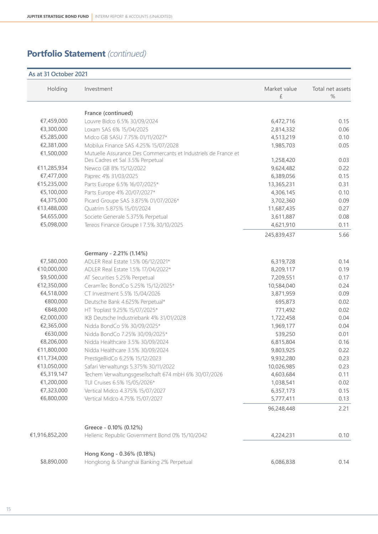| Holding        | Investment                                                     | Market value<br>£ | Total net assets<br>$\%$ |
|----------------|----------------------------------------------------------------|-------------------|--------------------------|
|                | France (continued)                                             |                   |                          |
| €7,459,000     | Louvre Bidco 6.5% 30/09/2024                                   | 6,472,716         | 0.15                     |
| €3,300,000     | Loxam SAS 6% 15/04/2025                                        | 2,814,332         | 0.06                     |
| €5,285,000     | Midco GB SASU 7.75% 01/11/2027*                                | 4,513,219         | 0.10                     |
| €2,381,000     | Mobilux Finance SAS 4.25% 15/07/2028                           | 1,985,703         | 0.05                     |
| €1,500,000     | Mutuelle Assurance Des Commercants et Industriels de France et |                   |                          |
|                | Des Cadres et Sal 3.5% Perpetual                               | 1,258,420         | 0.03                     |
| €11,285,934    | Newco GB 8% 15/12/2022                                         | 9,624,482         | 0.22                     |
| €7,477,000     | Paprec 4% 31/03/2025                                           | 6,389,056         | 0.15                     |
| €15,235,000    | Parts Europe 6.5% 16/07/2025*                                  | 13,365,231        | 0.31                     |
| €5,100,000     | Parts Europe 4% 20/07/2027*                                    | 4,306,145         | 0.10                     |
| €4,375,000     | Picard Groupe SAS 3.875% 01/07/2026*                           | 3,702,360         | 0.09                     |
| €13,488,000    | Quatrim 5.875% 15/01/2024                                      | 11,687,435        | 0.27                     |
| \$4,655,000    | Societe Generale 5.375% Perpetual                              | 3,611,887         | 0.08                     |
| €5,098,000     | Tereos Finance Groupe I 7.5% 30/10/2025                        | 4,621,910         | 0.11                     |
|                |                                                                | 245,839,437       | 5.66                     |
|                | Germany - 2.21% (1.14%)                                        |                   |                          |
| €7,580,000     | ADLER Real Estate 1.5% 06/12/2021*                             | 6,319,728         | 0.14                     |
| €10,000,000    | ADLER Real Estate 1.5% 17/04/2022*                             | 8,209,117         | 0.19                     |
| \$9,500,000    | AT Securities 5.25% Perpetual                                  | 7,209,551         | 0.17                     |
| €12,350,000    | CeramTec BondCo 5.25% 15/12/2025*                              | 10,584,040        | 0.24                     |
| €4,518,000     | CT Investment 5.5% 15/04/2026                                  | 3,871,959         | 0.09                     |
| €800,000       | Deutsche Bank 4.625% Perpetual*                                | 695,873           | 0.02                     |
| €848,000       | HT Troplast 9.25% 15/07/2025*                                  | 771,492           | 0.02                     |
| €2,000,000     | IKB Deutsche Industriebank 4% 31/01/2028                       | 1,722,458         | 0.04                     |
| €2,365,000     | Nidda BondCo 5% 30/09/2025*                                    | 1,969,177         | 0.04                     |
| €630,000       | Nidda BondCo 7.25% 30/09/2025*                                 | 539,250           | 0.01                     |
| €8,206,000     | Nidda Healthcare 3.5% 30/09/2024                               | 6,815,804         | 0.16                     |
| €11,800,000    | Nidda Healthcare 3.5% 30/09/2024                               | 9,803,925         | 0.22                     |
| €11,734,000    | PrestigeBidCo 6.25% 15/12/2023                                 | 9,932,280         | 0.23                     |
| €13,050,000    | Safari Verwaltungs 5.375% 30/11/2022                           | 10,026,985        | 0.23                     |
| €5,319,147     | Techem Verwaltungsgesellschaft 674 mbH 6% 30/07/2026           | 4,603,684         | 0.11                     |
| €1,200,000     | TUI Cruises 6.5% 15/05/2026*                                   | 1,038,541         | 0.02                     |
| €7,323,000     | Vertical Midco 4.375% 15/07/2027                               | 6,357,173         | 0.15                     |
| €6,800,000     | Vertical Midco 4.75% 15/07/2027                                | 5,777,411         | 0.13                     |
|                |                                                                | 96,248,448        | 2.21                     |
|                | Greece - 0.10% (0.12%)                                         |                   |                          |
| €1,916,852,200 | Hellenic Republic Government Bond 0% 15/10/2042                | 4,224,231         | 0.10                     |
|                |                                                                |                   |                          |
|                | Hong Kong - 0.36% (0.18%)                                      |                   |                          |
| \$8,890,000    | Hongkong & Shanghai Banking 2% Perpetual                       | 6,086,838         | 0.14                     |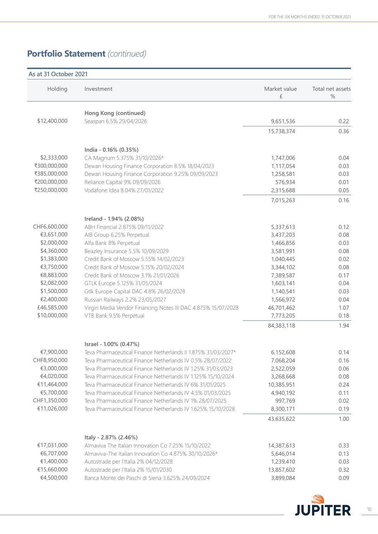| Holding      | Investment                                                    | Market value<br>£ | Total net assets<br>$\%$ |
|--------------|---------------------------------------------------------------|-------------------|--------------------------|
|              | Hong Kong (continued)                                         |                   |                          |
| \$12,400,000 | Seaspan 6.5% 29/04/2026                                       | 9,651,536         | 0.22                     |
|              |                                                               | 15,738,374        | 0.36                     |
|              | India - 0.16% (0.35%)                                         |                   |                          |
| \$2,333,000  | CA Magnum 5.375% 31/10/2026*                                  | 1,747,006         | 0.04                     |
| ₹300,000,000 | Dewan Housing Finance Corporation 8.5% 18/04/2023             | 1,117,054         | 0.03                     |
| ₹385,000,000 | Dewan Housing Finance Corporation 9.25% 09/09/2023            | 1,258,581         | 0.03                     |
| ₹200,000,000 | Reliance Capital 9% 09/09/2026                                | 576,934           | 0.01                     |
| ₹250,000,000 | Vodafone Idea 8.04% 27/01/2022                                | 2,315,688         | 0.05                     |
|              |                                                               | 7,015,263         | 0.16                     |
|              | Ireland - 1.94% (2.08%)                                       |                   |                          |
| CHF6,600,000 | ABH Financial 2.875% 09/11/2022                               | 5,337,613         | 0.12                     |
| €3,651,000   | AIB Group 6.25% Perpetual                                     | 3,437,203         | 0.08                     |
| \$2,000,000  | Alfa Bank 8% Perpetual                                        | 1,466,856         | 0.03                     |
| \$4,360,000  | Beazley Insurance 5.5% 10/09/2029                             | 3,581,991         | 0.08                     |
| \$1,383,000  | Credit Bank of Moscow 5.55% 14/02/2023                        | 1,040,445         | 0.02                     |
| €3,750,000   | Credit Bank of Moscow 5.15% 20/02/2024                        | 3,344,102         | 0.08                     |
| €8,883,000   | Credit Bank of Moscow 3.1% 21/01/2026                         | 7,389,587         | 0.17                     |
| \$2,082,000  | GTLK Europe 5.125% 31/05/2024                                 | 1,603,141         | 0.04                     |
| \$1,500,000  | Gtlk Europe Capital DAC 4.8% 26/02/2028                       | 1,140,541         | 0.03                     |
| €2,400,000   | Russian Railways 2.2% 23/05/2027                              | 1,566,972         | 0.04                     |
| £46,585,000  | Virgin Media Vendor Financing Notes III DAC 4.875% 15/07/2028 | 46,701,462        | 1.07                     |
| \$10,000,000 | VTB Bank 9.5% Perpetual                                       | 7,773,205         | 0.18                     |
|              |                                                               | 84,383,118        | 1.94                     |
|              | Israel - 1.00% (0.47%)                                        |                   |                          |
| €7,900,000   | Teva Pharmaceutical Finance Netherlands II 1.875% 31/03/2027* | 6,152,608         | 0.14                     |
| CHF8,950,000 | Teva Pharmaceutical Finance Netherlands IV 0.5% 28/07/2022    | 7,068,204         | 0.16                     |
| €3,000,000   | Teva Pharmaceutical Finance Netherlands IV 1.25% 31/03/2023   | 2,522,059         | 0.06                     |
| €4,020,000   | Teva Pharmaceutical Finance Netherlands IV 1.125% 15/10/2024  | 3,268,668         | 0.08                     |
| €11,464,000  | Teva Pharmaceutical Finance Netherlands IV 6% 31/01/2025      | 10,385,951        | 0.24                     |
| €5,700,000   | Teva Pharmaceutical Finance Netherlands IV 4.5% 01/03/2025    | 4,940,192         | 0.11                     |
| CHF1,350,000 | Teva Pharmaceutical Finance Netherlands IV 1% 28/07/2025      | 997,769           | 0.02                     |
| €11,026,000  | Teva Pharmaceutical Finance Netherlands IV 1.625% 15/10/2028  | 8,300,171         | 0.19                     |
|              |                                                               | 43,635,622        | 1.00                     |
|              | Italy - 2.87% (2.46%)                                         |                   |                          |
| €17,031,000  | Almaviva The Italian Innovation Co 7.25% 15/10/2022           | 14,387,613        | 0.33                     |
| €6,707,000   | Almaviva-The Italian Innovation Co 4.875% 30/10/2026*         | 5,646,014         | 0.13                     |
| €1,400,000   | Autostrade per l'Italia 2% 04/12/2028                         | 1,239,410         | 0.03                     |
| €15,660,000  | Autostrade per l'Italia 2% 15/01/2030                         | 13,857,602        | 0.32                     |
| €4,500,000   | Banca Monte dei Paschi di Siena 3.625% 24/09/2024             | 3,899,084         | 0.09                     |

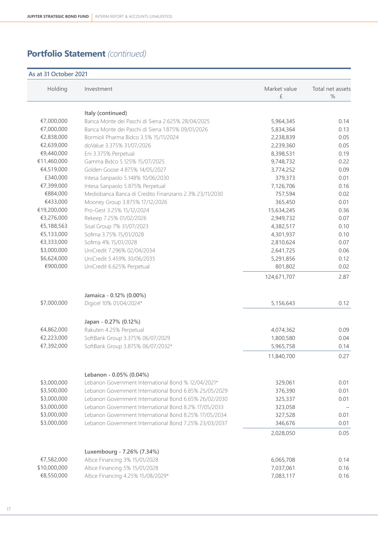| Holding      | Investment                                              | Market value<br>£ | Total net assets<br>$\%$ |
|--------------|---------------------------------------------------------|-------------------|--------------------------|
|              | Italy (continued)                                       |                   |                          |
| €7,000,000   | Banca Monte dei Paschi di Siena 2.625% 28/04/2025       | 5,964,345         | 0.14                     |
| €7,000,000   | Banca Monte dei Paschi di Siena 1.875% 09/01/2026       | 5,834,364         | 0.13                     |
| €2,838,000   | Bormioli Pharma Bidco 3.5% 15/11/2024                   | 2,238,839         | 0.05                     |
| €2,639,000   | doValue 3.375% 31/07/2026                               | 2,239,360         | 0.05                     |
| €9,440,000   | Eni 3.375% Perpetual                                    | 8,398,531         | 0.19                     |
| €11,460,000  | Gamma Bidco 5.125% 15/07/2025                           | 9,748,732         | 0.22                     |
| €4,519,000   | Golden Goose 4.875% 14/05/2027                          | 3,774,252         | 0.09                     |
| £340,000     | Intesa Sanpaolo 5.148% 10/06/2030                       | 379,373           | 0.01                     |
| €7,399,000   | Intesa Sanpaolo 5.875% Perpetual                        | 7,126,706         | 0.16                     |
| €884,000     | Mediobanca Banca di Credito Finanziario 2.3% 23/11/2030 | 757,594           | 0.02                     |
| €433,000     | Mooney Group 3.875% 17/12/2026                          | 365,450           | 0.01                     |
| €19,200,000  | Pro-Gest 3.25% 15/12/2024                               | 15,634,245        | 0.36                     |
| €3,276,000   | Rekeep 7.25% 01/02/2026                                 | 2,949,732         | 0.07                     |
| €5,188,563   | Sisal Group 7% 31/07/2023                               | 4,382,517         | 0.10                     |
| €5,133,000   | Sofima 3.75% 15/01/2028                                 | 4,301,937         | 0.10                     |
| €3,333,000   | Sofima 4% 15/01/2028                                    | 2,810,624         | 0.07                     |
| \$3,000,000  | UniCredit 7.296% 02/04/2034                             | 2,641,725         | 0.06                     |
| \$6,624,000  | UniCredit 5.459% 30/06/2035                             | 5,291,856         | 0.12                     |
| €900,000     | UniCredit 6.625% Perpetual                              | 801,802           | 0.02                     |
|              |                                                         | 124,671,707       | 2.87                     |
|              | Jamaica - 0.12% (0.00%)                                 |                   |                          |
| \$7,000,000  | Digicel 10% 01/04/2024*                                 | 5,156,643         | 0.12                     |
|              | Japan - 0.27% (0.12%)                                   |                   |                          |
| €4,862,000   | Rakuten 4.25% Perpetual                                 | 4,074,362         | 0.09                     |
| €2,223,000   | SoftBank Group 3.375% 06/07/2029                        | 1,800,580         | 0.04                     |
| €7,392,000   | SoftBank Group 3.875% 06/07/2032*                       | 5,965,758         | 0.14                     |
|              |                                                         | 11,840,700        | 0.27                     |
|              | Lebanon - 0.05% (0.04%)                                 |                   |                          |
| \$3,000,000  | Lebanon Government International Bond % 12/04/2021*     | 329,061           | 0.01                     |
| \$3,500,000  | Lebanon Government International Bond 6.85% 25/05/2029  | 376,390           | 0.01                     |
| \$3,000,000  | Lebanon Government International Bond 6.65% 26/02/2030  | 325,337           | 0.01                     |
| \$3,000,000  | Lebanon Government International Bond 8.2% 17/05/2033   | 323,058           |                          |
| \$3,000,000  | Lebanon Government International Bond 8.25% 17/05/2034  | 327,528           | 0.01                     |
| \$3,000,000  | Lebanon Government International Bond 7.25% 23/03/2037  | 346,676           | 0.01                     |
|              |                                                         | 2,028,050         | 0.05                     |
|              | Luxembourg - 7.26% (7.34%)                              |                   |                          |
| €7,582,000   | Altice Financing 3% 15/01/2028                          | 6,065,708         | 0.14                     |
| \$10,000,000 | Altice Financing 5% 15/01/2028                          | 7,037,061         | 0.16                     |
| €8,550,000   | Altice Financing 4.25% 15/08/2029*                      | 7,083,117         | 0.16                     |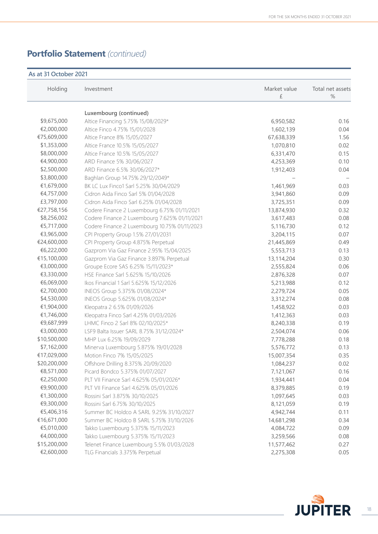| Holding      | Investment                                    | Market value<br>£ | Total net assets<br>$\%$ |
|--------------|-----------------------------------------------|-------------------|--------------------------|
|              | Luxembourg (continued)                        |                   |                          |
| \$9,675,000  | Altice Financing 5.75% 15/08/2029*            | 6,950,582         | 0.16                     |
| €2,000,000   | Altice Finco 4.75% 15/01/2028                 | 1,602,139         | 0.04                     |
| €75,609,000  | Altice France 8% 15/05/2027                   | 67,638,339        | 1.56                     |
| \$1,353,000  | Altice France 10.5% 15/05/2027                | 1,070,810         | 0.02                     |
| \$8,000,000  | Altice France 10.5% 15/05/2027                | 6,331,470         | 0.15                     |
| €4,900,000   | ARD Finance 5% 30/06/2027                     | 4,253,369         | 0.10                     |
| \$2,500,000  | ARD Finance 6.5% 30/06/2027*                  | 1,912,403         | 0.04                     |
| \$3,800,000  | Baghlan Group 14.75% 29/12/2049*              |                   |                          |
| €1,679,000   | BK LC Lux Finco1 Sarl 5.25% 30/04/2029        | 1,461,969         | 0.03                     |
| €4,757,000   | Cidron Aida Finco Sarl 5% 01/04/2028          | 3,941,860         | 0.09                     |
| £3,797,000   | Cidron Aida Finco Sarl 6.25% 01/04/2028       | 3,725,351         | 0.09                     |
| €27,758,156  | Codere Finance 2 Luxembourg 6.75% 01/11/2021  | 13,874,930        | 0.32                     |
| \$8,256,002  | Codere Finance 2 Luxembourg 7.625% 01/11/2021 | 3,617,483         | 0.08                     |
| €5,717,000   | Codere Finance 2 Luxembourg 10.75% 01/11/2023 | 5,116,730         | 0.12                     |
| €3,965,000   | CPI Property Group 1.5% 27/01/2031            | 3,204,115         | 0.07                     |
| €24,600,000  | CPI Property Group 4.875% Perpetual           | 21,445,869        | 0.49                     |
| €6,222,000   | Gazprom Via Gaz Finance 2.95% 15/04/2025      | 5,553,713         | 0.13                     |
| €15,100,000  | Gazprom Via Gaz Finance 3.897% Perpetual      | 13,114,204        | 0.30                     |
| €3,000,000   | Groupe Ecore SAS 6.25% 15/11/2023*            | 2,555,824         | 0.06                     |
| €3,330,000   | HSE Finance Sarl 5.625% 15/10/2026            | 2,876,328         | 0.07                     |
| €6,069,000   | Ikos Financial 1 Sarl 5.625% 15/12/2026       | 5,213,988         | 0.12                     |
| €2,700,000   | INEOS Group 5.375% 01/08/2024*                | 2,279,724         | 0.05                     |
| \$4,530,000  | INEOS Group 5.625% 01/08/2024*                | 3,312,274         | 0.08                     |
| €1,904,000   | Kleopatra 2 6.5% 01/09/2026                   | 1,458,922         | 0.03                     |
| €1,746,000   | Kleopatra Finco Sarl 4.25% 01/03/2026         | 1,412,363         | 0.03                     |
| €9,687,999   | LHMC Finco 2 Sarl 8% 02/10/2025*              | 8,240,338         | 0.19                     |
| €3,000,000   | LSF9 Balta Issuer SARL 8.75% 31/12/2024*      | 2,504,074         | 0.06                     |
| \$10,500,000 | MHP Lux 6.25% 19/09/2029                      | 7,778,288         | 0.18                     |
| \$7,162,000  | Minerva Luxembourg 5.875% 19/01/2028          | 5,576,772         | 0.13                     |
| €17,029,000  | Motion Finco 7% 15/05/2025                    | 15,007,354        | 0.35                     |
| \$20,200,000 | Offshore Drilling 8.375% 20/09/2020           | 1,084,237         | 0.02                     |
| €8,571,000   | Picard Bondco 5.375% 01/07/2027               | 7,121,067         | 0.16                     |
| €2,250,000   | PLT VII Finance Sarl 4.625% 05/01/2026*       | 1,934,441         | 0.04                     |
| €9,900,000   | PLT VII Finance Sarl 4.625% 05/01/2026        | 8,379,885         | 0.19                     |
| €1,300,000   | Rossini Sarl 3.875% 30/10/2025                | 1,097,645         | 0.03                     |
| €9,300,000   | Rossini Sarl 6.75% 30/10/2025                 | 8,121,059         | 0.19                     |
| €5,406,316   | Summer BC Holdco A SARL 9.25% 31/10/2027      | 4,942,744         | 0.11                     |
| €16,671,000  | Summer BC Holdco B SARL 5.75% 31/10/2026      | 14,681,298        | 0.34                     |
| €5,010,000   | Takko Luxembourg 5.375% 15/11/2023            | 4,084,722         | 0.09                     |
| €4,000,000   | Takko Luxembourg 5.375% 15/11/2023            | 3,259,566         | 0.08                     |
| \$15,200,000 | Telenet Finance Luxembourg 5.5% 01/03/2028    | 11,577,462        | 0.27                     |
| €2,600,000   | TLG Financials 3.375% Perpetual               | 2,275,308         | 0.05                     |
|              |                                               |                   |                          |

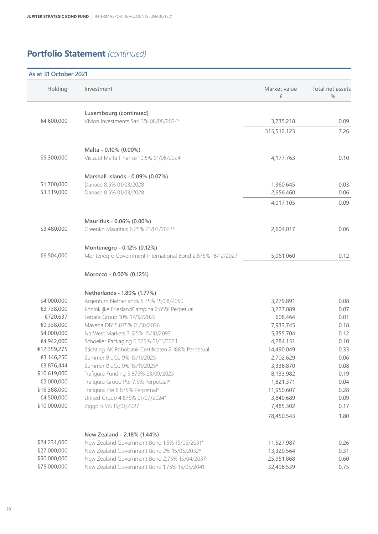| Holding                  | Investment                                                 | Market value<br>£      | Total net assets<br>$\%$ |
|--------------------------|------------------------------------------------------------|------------------------|--------------------------|
|                          | Luxembourg (continued)                                     |                        |                          |
| €4,600,000               | Vivion Investments Sarl 3% 08/08/2024*                     | 3,735,218              | 0.09                     |
|                          |                                                            | 315,512,123            | 7.26                     |
|                          | Malta - 0.10% (0.00%)                                      |                        |                          |
| \$5,300,000              | VistaJet Malta Finance 10.5% 01/06/2024                    | 4,177,763              | 0.10                     |
|                          | Marshall Islands - 0.09% (0.07%)                           |                        |                          |
| \$1,700,000              | Danaos 8.5% 01/03/2028                                     | 1,360,645              | 0.03                     |
| \$3,319,000              | Danaos 8.5% 01/03/2028                                     | 2,656,460              | 0.06                     |
|                          |                                                            | 4,017,105              | 0.09                     |
|                          | Mauritius - 0.06% (0.00%)                                  |                        |                          |
| \$3,480,000              | Greenko Mauritius 6.25% 21/02/2023*                        | 2,604,017              | 0.06                     |
|                          | Montenegro - 0.12% (0.12%)                                 |                        |                          |
| €6,504,000               | Montenegro Government International Bond 2.875% 16/12/2027 | 5,061,060              | 0.12                     |
|                          | Morocco - 0.00% (0.12%)                                    |                        |                          |
|                          | Netherlands - 1.80% (1.77%)                                |                        |                          |
| \$4,000,000              | Argentum Netherlands 5.75% 15/08/2050                      | 3,279,891              | 0.08                     |
| €3,738,000               | Koninklijke FrieslandCampina 2.85% Perpetual               | 3,227,089              | 0.07                     |
| €720,637                 | Lebara Group 10% 17/12/2022                                | 608,464                | 0.01                     |
| €9,338,000               | Maxeda DIY 5.875% 01/10/2026                               | 7,933,745              | 0.18                     |
| \$4,000,000              | NatWest Markets 7.125% 15/10/2093                          | 5,355,704              | 0.12                     |
| €4,942,000               | Schoeller Packaging 6.375% 01/11/2024                      | 4,284,151              | 0.10                     |
| €12,359,275              | Stichting AK Rabobank Certificaten 2.188% Perpetual        | 14,490,049             | 0.33                     |
| €3,146,250<br>€3,876,444 | Summer BidCo 9% 15/11/2025<br>Summer BidCo 9% 15/11/2025*  | 2,702,629<br>3,336,870 | 0.06<br>0.08             |
| \$10,619,000             | Trafigura Funding 5.875% 23/09/2025                        | 8,133,982              | 0.19                     |
| €2,000,000               | Trafigura Group Pte 7.5% Perpetual*                        | 1,821,371              | 0.04                     |
| \$16,388,000             | Trafigura Pte 6.875% Perpetual*                            | 11,950,607             | 0.28                     |
| €4,500,000               | United Group 4.875% 01/07/2024*                            | 3,840,689              | 0.09                     |
| \$10,000,000             | Ziggo 5.5% 15/01/2027                                      | 7,485,302              | 0.17                     |
|                          |                                                            | 78,450,543             | 1.80                     |
|                          | New Zealand - 2.18% (1.44%)                                |                        |                          |
| \$24,231,000             | New Zealand Government Bond 1.5% 15/05/2031*               | 11,527,987             | 0.26                     |
| \$27,000,000             | New Zealand Government Bond 2% 15/05/2032*                 | 13,320,564             | 0.31                     |
| \$50,000,000             | New Zealand Government Bond 2.75% 15/04/2037               | 25,951,868             | 0.60                     |
| \$75,000,000             | New Zealand Government Bond 1.75% 15/05/2041               | 32,496,539             | 0.75                     |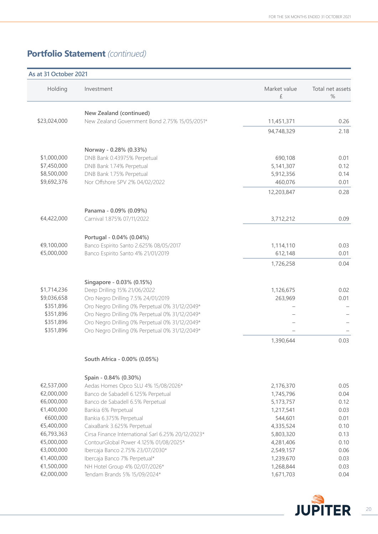| New Zealand (continued)<br>\$23,024,000<br>New Zealand Government Bond 2.75% 15/05/2051*<br>11,451,371<br>0.26<br>94,748,329<br>2.18<br>Norway - 0.28% (0.33%)<br>\$1,000,000<br>DNB Bank 0.43975% Perpetual<br>690,108<br>0.01<br>\$7,450,000<br>DNB Bank 1.74% Perpetual<br>5,141,307<br>0.12<br>\$8,500,000<br>DNB Bank 1.75% Perpetual<br>5,912,356<br>0.14<br>\$9,692,376<br>Nor Offshore SPV 2% 04/02/2022<br>460,076<br>0.01<br>12,203,847<br>0.28<br>Panama - 0.09% (0.09%)<br>€4,422,000<br>Carnival 1.875% 07/11/2022<br>3,712,212<br>0.09<br>Portugal - 0.04% (0.04%)<br>€9,100,000<br>Banco Espirito Santo 2.625% 08/05/2017<br>1,114,110<br>0.03<br>€5,000,000<br>Banco Espirito Santo 4% 21/01/2019<br>612,148<br>0.01<br>1,726,258<br>0.04<br>Singapore - 0.03% (0.15%)<br>\$1,714,236<br>Deep Drilling 15% 21/06/2022<br>1,126,675<br>0.02<br>\$9,036,658<br>Oro Negro Drilling 7.5% 24/01/2019<br>263,969<br>0.01<br>\$351,896<br>Oro Negro Drilling 0% Perpetual 0% 31/12/2049*<br>\$351,896<br>Oro Negro Drilling 0% Perpetual 0% 31/12/2049*<br>\$351,896<br>Oro Negro Drilling 0% Perpetual 0% 31/12/2049*<br>\$351,896<br>Oro Negro Drilling 0% Perpetual 0% 31/12/2049*<br>0.03<br>1,390,644<br>South Africa - 0.00% (0.05%)<br>Spain - 0.84% (0.30%)<br>€2,537,000<br>Aedas Homes Opco SLU 4% 15/08/2026*<br>0.05<br>2,176,370<br>€2,000,000<br>Banco de Sabadell 6.125% Perpetual<br>0.04<br>1,745,796<br>€6,000,000<br>Banco de Sabadell 6.5% Perpetual<br>5,173,757<br>0.12<br>€1,400,000<br>Bankia 6% Perpetual<br>0.03<br>1,217,541<br>€600,000<br>Bankia 6.375% Perpetual<br>544,601<br>0.01<br>€5,400,000<br>CaixaBank 3.625% Perpetual<br>4,335,524<br>0.10<br>€6,793,363<br>Cirsa Finance International Sarl 6.25% 20/12/2023*<br>0.13<br>5,803,320<br>€5,000,000<br>ContourGlobal Power 4.125% 01/08/2025*<br>0.10<br>4,281,406<br>€3,000,000<br>0.06<br>Ibercaja Banco 2.75% 23/07/2030*<br>2,549,157<br>€1,400,000<br>Ibercaja Banco 7% Perpetual*<br>0.03<br>1,239,670<br>€1,500,000<br>NH Hotel Group 4% 02/07/2026*<br>1,268,844<br>0.03<br>€2,000,000<br>Tendam Brands 5% 15/09/2024*<br>1,671,703<br>0.04 | Holding | Investment | Market value<br>£ | Total net assets<br>$\%$ |
|----------------------------------------------------------------------------------------------------------------------------------------------------------------------------------------------------------------------------------------------------------------------------------------------------------------------------------------------------------------------------------------------------------------------------------------------------------------------------------------------------------------------------------------------------------------------------------------------------------------------------------------------------------------------------------------------------------------------------------------------------------------------------------------------------------------------------------------------------------------------------------------------------------------------------------------------------------------------------------------------------------------------------------------------------------------------------------------------------------------------------------------------------------------------------------------------------------------------------------------------------------------------------------------------------------------------------------------------------------------------------------------------------------------------------------------------------------------------------------------------------------------------------------------------------------------------------------------------------------------------------------------------------------------------------------------------------------------------------------------------------------------------------------------------------------------------------------------------------------------------------------------------------------------------------------------------------------------------------------------------------------------------------------------------------------------------------------------------------------------------------------------------------|---------|------------|-------------------|--------------------------|
|                                                                                                                                                                                                                                                                                                                                                                                                                                                                                                                                                                                                                                                                                                                                                                                                                                                                                                                                                                                                                                                                                                                                                                                                                                                                                                                                                                                                                                                                                                                                                                                                                                                                                                                                                                                                                                                                                                                                                                                                                                                                                                                                                    |         |            |                   |                          |
|                                                                                                                                                                                                                                                                                                                                                                                                                                                                                                                                                                                                                                                                                                                                                                                                                                                                                                                                                                                                                                                                                                                                                                                                                                                                                                                                                                                                                                                                                                                                                                                                                                                                                                                                                                                                                                                                                                                                                                                                                                                                                                                                                    |         |            |                   |                          |
|                                                                                                                                                                                                                                                                                                                                                                                                                                                                                                                                                                                                                                                                                                                                                                                                                                                                                                                                                                                                                                                                                                                                                                                                                                                                                                                                                                                                                                                                                                                                                                                                                                                                                                                                                                                                                                                                                                                                                                                                                                                                                                                                                    |         |            |                   |                          |
|                                                                                                                                                                                                                                                                                                                                                                                                                                                                                                                                                                                                                                                                                                                                                                                                                                                                                                                                                                                                                                                                                                                                                                                                                                                                                                                                                                                                                                                                                                                                                                                                                                                                                                                                                                                                                                                                                                                                                                                                                                                                                                                                                    |         |            |                   |                          |
|                                                                                                                                                                                                                                                                                                                                                                                                                                                                                                                                                                                                                                                                                                                                                                                                                                                                                                                                                                                                                                                                                                                                                                                                                                                                                                                                                                                                                                                                                                                                                                                                                                                                                                                                                                                                                                                                                                                                                                                                                                                                                                                                                    |         |            |                   |                          |
|                                                                                                                                                                                                                                                                                                                                                                                                                                                                                                                                                                                                                                                                                                                                                                                                                                                                                                                                                                                                                                                                                                                                                                                                                                                                                                                                                                                                                                                                                                                                                                                                                                                                                                                                                                                                                                                                                                                                                                                                                                                                                                                                                    |         |            |                   |                          |
|                                                                                                                                                                                                                                                                                                                                                                                                                                                                                                                                                                                                                                                                                                                                                                                                                                                                                                                                                                                                                                                                                                                                                                                                                                                                                                                                                                                                                                                                                                                                                                                                                                                                                                                                                                                                                                                                                                                                                                                                                                                                                                                                                    |         |            |                   |                          |
|                                                                                                                                                                                                                                                                                                                                                                                                                                                                                                                                                                                                                                                                                                                                                                                                                                                                                                                                                                                                                                                                                                                                                                                                                                                                                                                                                                                                                                                                                                                                                                                                                                                                                                                                                                                                                                                                                                                                                                                                                                                                                                                                                    |         |            |                   |                          |
|                                                                                                                                                                                                                                                                                                                                                                                                                                                                                                                                                                                                                                                                                                                                                                                                                                                                                                                                                                                                                                                                                                                                                                                                                                                                                                                                                                                                                                                                                                                                                                                                                                                                                                                                                                                                                                                                                                                                                                                                                                                                                                                                                    |         |            |                   |                          |
|                                                                                                                                                                                                                                                                                                                                                                                                                                                                                                                                                                                                                                                                                                                                                                                                                                                                                                                                                                                                                                                                                                                                                                                                                                                                                                                                                                                                                                                                                                                                                                                                                                                                                                                                                                                                                                                                                                                                                                                                                                                                                                                                                    |         |            |                   |                          |
|                                                                                                                                                                                                                                                                                                                                                                                                                                                                                                                                                                                                                                                                                                                                                                                                                                                                                                                                                                                                                                                                                                                                                                                                                                                                                                                                                                                                                                                                                                                                                                                                                                                                                                                                                                                                                                                                                                                                                                                                                                                                                                                                                    |         |            |                   |                          |
|                                                                                                                                                                                                                                                                                                                                                                                                                                                                                                                                                                                                                                                                                                                                                                                                                                                                                                                                                                                                                                                                                                                                                                                                                                                                                                                                                                                                                                                                                                                                                                                                                                                                                                                                                                                                                                                                                                                                                                                                                                                                                                                                                    |         |            |                   |                          |
|                                                                                                                                                                                                                                                                                                                                                                                                                                                                                                                                                                                                                                                                                                                                                                                                                                                                                                                                                                                                                                                                                                                                                                                                                                                                                                                                                                                                                                                                                                                                                                                                                                                                                                                                                                                                                                                                                                                                                                                                                                                                                                                                                    |         |            |                   |                          |
|                                                                                                                                                                                                                                                                                                                                                                                                                                                                                                                                                                                                                                                                                                                                                                                                                                                                                                                                                                                                                                                                                                                                                                                                                                                                                                                                                                                                                                                                                                                                                                                                                                                                                                                                                                                                                                                                                                                                                                                                                                                                                                                                                    |         |            |                   |                          |
|                                                                                                                                                                                                                                                                                                                                                                                                                                                                                                                                                                                                                                                                                                                                                                                                                                                                                                                                                                                                                                                                                                                                                                                                                                                                                                                                                                                                                                                                                                                                                                                                                                                                                                                                                                                                                                                                                                                                                                                                                                                                                                                                                    |         |            |                   |                          |
|                                                                                                                                                                                                                                                                                                                                                                                                                                                                                                                                                                                                                                                                                                                                                                                                                                                                                                                                                                                                                                                                                                                                                                                                                                                                                                                                                                                                                                                                                                                                                                                                                                                                                                                                                                                                                                                                                                                                                                                                                                                                                                                                                    |         |            |                   |                          |
|                                                                                                                                                                                                                                                                                                                                                                                                                                                                                                                                                                                                                                                                                                                                                                                                                                                                                                                                                                                                                                                                                                                                                                                                                                                                                                                                                                                                                                                                                                                                                                                                                                                                                                                                                                                                                                                                                                                                                                                                                                                                                                                                                    |         |            |                   |                          |
|                                                                                                                                                                                                                                                                                                                                                                                                                                                                                                                                                                                                                                                                                                                                                                                                                                                                                                                                                                                                                                                                                                                                                                                                                                                                                                                                                                                                                                                                                                                                                                                                                                                                                                                                                                                                                                                                                                                                                                                                                                                                                                                                                    |         |            |                   |                          |
|                                                                                                                                                                                                                                                                                                                                                                                                                                                                                                                                                                                                                                                                                                                                                                                                                                                                                                                                                                                                                                                                                                                                                                                                                                                                                                                                                                                                                                                                                                                                                                                                                                                                                                                                                                                                                                                                                                                                                                                                                                                                                                                                                    |         |            |                   |                          |
|                                                                                                                                                                                                                                                                                                                                                                                                                                                                                                                                                                                                                                                                                                                                                                                                                                                                                                                                                                                                                                                                                                                                                                                                                                                                                                                                                                                                                                                                                                                                                                                                                                                                                                                                                                                                                                                                                                                                                                                                                                                                                                                                                    |         |            |                   |                          |
|                                                                                                                                                                                                                                                                                                                                                                                                                                                                                                                                                                                                                                                                                                                                                                                                                                                                                                                                                                                                                                                                                                                                                                                                                                                                                                                                                                                                                                                                                                                                                                                                                                                                                                                                                                                                                                                                                                                                                                                                                                                                                                                                                    |         |            |                   |                          |
|                                                                                                                                                                                                                                                                                                                                                                                                                                                                                                                                                                                                                                                                                                                                                                                                                                                                                                                                                                                                                                                                                                                                                                                                                                                                                                                                                                                                                                                                                                                                                                                                                                                                                                                                                                                                                                                                                                                                                                                                                                                                                                                                                    |         |            |                   |                          |
|                                                                                                                                                                                                                                                                                                                                                                                                                                                                                                                                                                                                                                                                                                                                                                                                                                                                                                                                                                                                                                                                                                                                                                                                                                                                                                                                                                                                                                                                                                                                                                                                                                                                                                                                                                                                                                                                                                                                                                                                                                                                                                                                                    |         |            |                   |                          |
|                                                                                                                                                                                                                                                                                                                                                                                                                                                                                                                                                                                                                                                                                                                                                                                                                                                                                                                                                                                                                                                                                                                                                                                                                                                                                                                                                                                                                                                                                                                                                                                                                                                                                                                                                                                                                                                                                                                                                                                                                                                                                                                                                    |         |            |                   |                          |
|                                                                                                                                                                                                                                                                                                                                                                                                                                                                                                                                                                                                                                                                                                                                                                                                                                                                                                                                                                                                                                                                                                                                                                                                                                                                                                                                                                                                                                                                                                                                                                                                                                                                                                                                                                                                                                                                                                                                                                                                                                                                                                                                                    |         |            |                   |                          |
|                                                                                                                                                                                                                                                                                                                                                                                                                                                                                                                                                                                                                                                                                                                                                                                                                                                                                                                                                                                                                                                                                                                                                                                                                                                                                                                                                                                                                                                                                                                                                                                                                                                                                                                                                                                                                                                                                                                                                                                                                                                                                                                                                    |         |            |                   |                          |
|                                                                                                                                                                                                                                                                                                                                                                                                                                                                                                                                                                                                                                                                                                                                                                                                                                                                                                                                                                                                                                                                                                                                                                                                                                                                                                                                                                                                                                                                                                                                                                                                                                                                                                                                                                                                                                                                                                                                                                                                                                                                                                                                                    |         |            |                   |                          |
|                                                                                                                                                                                                                                                                                                                                                                                                                                                                                                                                                                                                                                                                                                                                                                                                                                                                                                                                                                                                                                                                                                                                                                                                                                                                                                                                                                                                                                                                                                                                                                                                                                                                                                                                                                                                                                                                                                                                                                                                                                                                                                                                                    |         |            |                   |                          |
|                                                                                                                                                                                                                                                                                                                                                                                                                                                                                                                                                                                                                                                                                                                                                                                                                                                                                                                                                                                                                                                                                                                                                                                                                                                                                                                                                                                                                                                                                                                                                                                                                                                                                                                                                                                                                                                                                                                                                                                                                                                                                                                                                    |         |            |                   |                          |
|                                                                                                                                                                                                                                                                                                                                                                                                                                                                                                                                                                                                                                                                                                                                                                                                                                                                                                                                                                                                                                                                                                                                                                                                                                                                                                                                                                                                                                                                                                                                                                                                                                                                                                                                                                                                                                                                                                                                                                                                                                                                                                                                                    |         |            |                   |                          |
|                                                                                                                                                                                                                                                                                                                                                                                                                                                                                                                                                                                                                                                                                                                                                                                                                                                                                                                                                                                                                                                                                                                                                                                                                                                                                                                                                                                                                                                                                                                                                                                                                                                                                                                                                                                                                                                                                                                                                                                                                                                                                                                                                    |         |            |                   |                          |
|                                                                                                                                                                                                                                                                                                                                                                                                                                                                                                                                                                                                                                                                                                                                                                                                                                                                                                                                                                                                                                                                                                                                                                                                                                                                                                                                                                                                                                                                                                                                                                                                                                                                                                                                                                                                                                                                                                                                                                                                                                                                                                                                                    |         |            |                   |                          |
|                                                                                                                                                                                                                                                                                                                                                                                                                                                                                                                                                                                                                                                                                                                                                                                                                                                                                                                                                                                                                                                                                                                                                                                                                                                                                                                                                                                                                                                                                                                                                                                                                                                                                                                                                                                                                                                                                                                                                                                                                                                                                                                                                    |         |            |                   |                          |
|                                                                                                                                                                                                                                                                                                                                                                                                                                                                                                                                                                                                                                                                                                                                                                                                                                                                                                                                                                                                                                                                                                                                                                                                                                                                                                                                                                                                                                                                                                                                                                                                                                                                                                                                                                                                                                                                                                                                                                                                                                                                                                                                                    |         |            |                   |                          |
|                                                                                                                                                                                                                                                                                                                                                                                                                                                                                                                                                                                                                                                                                                                                                                                                                                                                                                                                                                                                                                                                                                                                                                                                                                                                                                                                                                                                                                                                                                                                                                                                                                                                                                                                                                                                                                                                                                                                                                                                                                                                                                                                                    |         |            |                   |                          |
|                                                                                                                                                                                                                                                                                                                                                                                                                                                                                                                                                                                                                                                                                                                                                                                                                                                                                                                                                                                                                                                                                                                                                                                                                                                                                                                                                                                                                                                                                                                                                                                                                                                                                                                                                                                                                                                                                                                                                                                                                                                                                                                                                    |         |            |                   |                          |

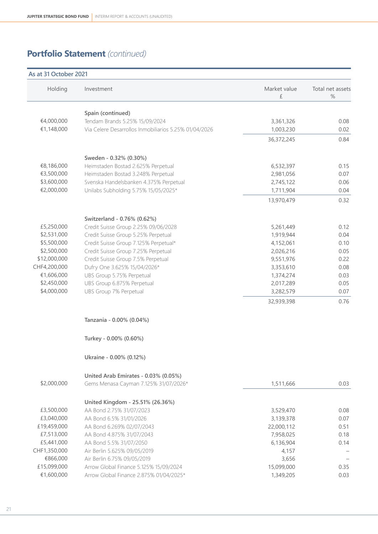#### **As at 31 October 2021**

| Holding                  | Investment                                            | Market value<br>£      | Total net assets<br>$\%$ |
|--------------------------|-------------------------------------------------------|------------------------|--------------------------|
|                          |                                                       |                        |                          |
| €4,000,000               | Spain (continued)<br>Tendam Brands 5.25% 15/09/2024   |                        |                          |
| €1,148,000               | Via Celere Desarrollos Inmobiliarios 5.25% 01/04/2026 | 3,361,326<br>1,003,230 | 0.08<br>0.02             |
|                          |                                                       | 36,372,245             | 0.84                     |
|                          |                                                       |                        |                          |
|                          | Sweden - 0.32% (0.30%)                                |                        |                          |
| €8,186,000               | Heimstaden Bostad 2.625% Perpetual                    | 6,532,397              | 0.15                     |
| €3,500,000               | Heimstaden Bostad 3.248% Perpetual                    | 2,981,056              | 0.07                     |
| \$3,600,000              | Svenska Handelsbanken 4.375% Perpetual                | 2,745,122              | 0.06                     |
| €2,000,000               | Unilabs Subholding 5.75% 15/05/2025*                  | 1,711,904              | 0.04                     |
|                          |                                                       | 13,970,479             | 0.32                     |
|                          | Switzerland - 0.76% (0.62%)                           |                        |                          |
| £5,250,000               | Credit Suisse Group 2.25% 09/06/2028                  | 5,261,449              | 0.12                     |
| \$2,531,000              | Credit Suisse Group 5.25% Perpetual                   | 1,919,944              | 0.04                     |
| \$5,500,000              | Credit Suisse Group 7.125% Perpetual*                 | 4,152,061              | 0.10                     |
| \$2,500,000              | Credit Suisse Group 7.25% Perpetual                   | 2,026,216              | 0.05                     |
| \$12,000,000             | Credit Suisse Group 7.5% Perpetual                    | 9,551,976              | 0.22                     |
| CHF4,200,000             | Dufry One 3.625% 15/04/2026*                          | 3,353,610              | 0.08                     |
| €1,606,000               | UBS Group 5.75% Perpetual                             | 1,374,274              | 0.03                     |
| \$2,450,000              | UBS Group 6.875% Perpetual                            | 2,017,289              | 0.05                     |
| \$4,000,000              | UBS Group 7% Perpetual                                | 3,282,579              | 0.07                     |
|                          |                                                       | 32,939,398             | 0.76                     |
|                          |                                                       |                        |                          |
|                          | Tanzania - 0.00% (0.04%)                              |                        |                          |
|                          | Turkey - 0.00% (0.60%)                                |                        |                          |
|                          | Ukraine - 0.00% (0.12%)                               |                        |                          |
|                          | United Arab Emirates - 0.03% (0.05%)                  |                        |                          |
| \$2,000,000              | Gems Menasa Cayman 7.125% 31/07/2026*                 | 1,511,666              | 0.03                     |
|                          |                                                       |                        |                          |
|                          | United Kingdom - 25.51% (26.36%)                      |                        |                          |
| £3,500,000<br>£3,040,000 | AA Bond 2.75% 31/07/2023                              | 3,529,470              | 0.08                     |
|                          | AA Bond 6.5% 31/01/2026                               | 3,139,378              | 0.07                     |
| £19,459,000              | AA Bond 6.269% 02/07/2043                             | 22,000,112             | 0.51                     |

£7,513,000 AA Bond 4.875% 31/07/2043 7,958,025 0.18 £5,441,000 AA Bond 5.5% 31/07/2050 6,136,904 0.14 CHF1,350,000 Air Berlin 5.625% 09/05/2019 4,157 4,157 4,157 €866,000 Air Berlin 6.75% 09/05/2019 3,656 – £15,099,000 Arrow Global Finance 5.125% 15/09/2024 15,099,000 0.35 €1,600,000 Arrow Global Finance 2.875% 01/04/2025\* 1,349,205 0.03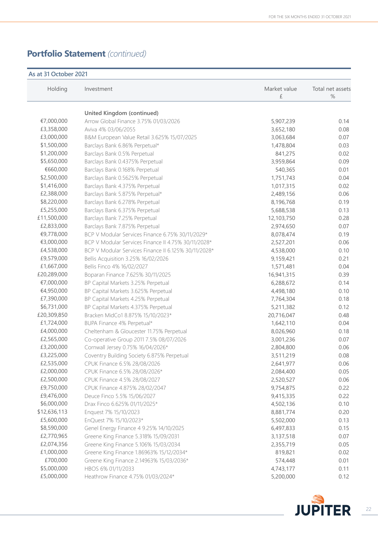| Holding      | Investment                                           | Market value<br>£ | Total net assets<br>$\%$ |
|--------------|------------------------------------------------------|-------------------|--------------------------|
|              | United Kingdom (continued)                           |                   |                          |
| €7,000,000   | Arrow Global Finance 3.75% 01/03/2026                | 5,907,239         | 0.14                     |
| £3,358,000   | Aviva 4% 03/06/2055                                  | 3,652,180         | 0.08                     |
| £3,000,000   | B&M European Value Retail 3.625% 15/07/2025          | 3,063,684         | 0.07                     |
| \$1,500,000  | Barclays Bank 6.86% Perpetual*                       | 1,478,804         | 0.03                     |
| \$1,200,000  | Barclays Bank 0.5% Perpetual                         | 841,275           | 0.02                     |
| \$5,650,000  | Barclays Bank 0.4375% Perpetual                      | 3,959,864         | 0.09                     |
| €660,000     | Barclays Bank 0.168% Perpetual                       | 540,365           | 0.01                     |
| \$2,500,000  | Barclays Bank 0.5625% Perpetual                      | 1,751,743         | 0.04                     |
| \$1,416,000  | Barclays Bank 4.375% Perpetual                       | 1,017,315         | 0.02                     |
| £2,388,000   | Barclays Bank 5.875% Perpetual*                      | 2,489,156         | 0.06                     |
| \$8,220,000  | Barclays Bank 6.278% Perpetual                       | 8,196,768         | 0.19                     |
| £5,255,000   | Barclays Bank 6.375% Perpetual                       | 5,688,538         | 0.13                     |
| £11,500,000  | Barclays Bank 7.25% Perpetual                        | 12,103,750        | 0.28                     |
| £2,833,000   | Barclays Bank 7.875% Perpetual                       | 2,974,650         | 0.07                     |
| €9,778,000   | BCP V Modular Services Finance 6.75% 30/11/2029*     | 8,078,474         | 0.19                     |
| €3,000,000   | BCP V Modular Services Finance II 4.75% 30/11/2028*  | 2,527,201         | 0.06                     |
| £4,538,000   | BCP V Modular Services Finance II 6.125% 30/11/2028* | 4,538,000         | 0.10                     |
| £9,579,000   | Bellis Acquisition 3.25% 16/02/2026                  | 9,159,421         | 0.21                     |
| £1,667,000   | Bellis Finco 4% 16/02/2027                           | 1,571,481         | 0.04                     |
| £20,289,000  | Boparan Finance 7.625% 30/11/2025                    | 16,941,315        | 0.39                     |
| €7,000,000   | BP Capital Markets 3.25% Perpetual                   | 6,288,672         | 0.14                     |
| €4,950,000   | BP Capital Markets 3.625% Perpetual                  | 4,498,180         | 0.10                     |
| £7,390,000   | BP Capital Markets 4.25% Perpetual                   | 7,764,304         | 0.18                     |
| \$6,731,000  | BP Capital Markets 4.375% Perpetual                  | 5,211,382         | 0.12                     |
| £20,309,850  | Bracken MidCo1 8.875% 15/10/2023*                    | 20,716,047        | 0.48                     |
| £1,724,000   | BUPA Finance 4% Perpetual*                           | 1,642,110         | 0.04                     |
| £4,000,000   | Cheltenham & Gloucester 11.75% Perpetual             | 8,026,960         | 0.18                     |
| £2,565,000   | Co-operative Group 2011 7.5% 08/07/2026              | 3,001,236         | 0.07                     |
| £3,200,000   | Cornwall Jersey 0.75% 16/04/2026*                    | 2,804,800         | 0.06                     |
| £3,225,000   | Coventry Building Society 6.875% Perpetual           | 3,511,219         | 0.08                     |
| £2,535,000   | CPUK Finance 6.5% 28/08/2026                         | 2,641,977         | 0.06                     |
| £2,000,000   | CPUK Finance 6.5% 28/08/2026*                        | 2,084,400         | 0.05                     |
| £2,500,000   | CPUK Finance 4.5% 28/08/2027                         | 2,520,527         | 0.06                     |
| £9,750,000   | CPUK Finance 4.875% 28/02/2047                       | 9,754,875         | 0.22                     |
| £9,476,000   | Deuce Finco 5.5% 15/06/2027                          | 9,415,335         | 0.22                     |
| \$6,000,000  | Drax Finco 6.625% 01/11/2025*                        | 4,502,136         | 0.10                     |
| \$12,636,113 | Enquest 7% 15/10/2023                                | 8,881,774         | 0.20                     |
| £5,600,000   | EnQuest 7% 15/10/2023*                               | 5,502,000         | 0.13                     |
| \$8,590,000  | Genel Energy Finance 4 9.25% 14/10/2025              | 6,497,833         | 0.15                     |
| £2,770,965   | Greene King Finance 5.318% 15/09/2031                | 3,137,518         | 0.07                     |
| £2,074,356   | Greene King Finance 5.106% 15/03/2034                | 2,355,719         | 0.05                     |
| £1,000,000   | Greene King Finance 1.86963% 15/12/2034*             | 819,821           | 0.02                     |
| £700,000     | Greene King Finance 2.14963% 15/03/2036*             | 574,448           | 0.01                     |
| \$5,000,000  | HBOS 6% 01/11/2033                                   | 4,743,177         | 0.11                     |
| £5,000,000   | Heathrow Finance 4.75% 01/03/2024*                   | 5,200,000         | 0.12                     |

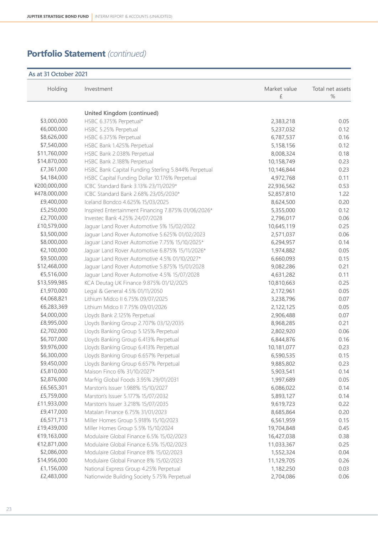| Holding      | Investment                                          | Market value<br>£ | Total net assets<br>$\%$ |
|--------------|-----------------------------------------------------|-------------------|--------------------------|
|              | United Kingdom (continued)                          |                   |                          |
| \$3,000,000  | HSBC 6.375% Perpetual*                              | 2,383,218         | 0.05                     |
| €6,000,000   | HSBC 5.25% Perpetual                                | 5,237,032         | 0.12                     |
| \$8,626,000  | HSBC 6.375% Perpetual                               | 6,787,537         | 0.16                     |
| \$7,540,000  | HSBC Bank 1.425% Perpetual                          | 5,158,156         | 0.12                     |
| \$11,760,000 | HSBC Bank 2.038% Perpetual                          | 8,008,324         | 0.18                     |
| \$14,870,000 | HSBC Bank 2.188% Perpetual                          | 10,158,749        | 0.23                     |
| £7,361,000   | HSBC Bank Capital Funding Sterling 5.844% Perpetual | 10,146,844        | 0.23                     |
| \$4,184,000  | HSBC Capital Funding Dollar 10.176% Perpetual       | 4,972,768         | 0.11                     |
| ¥200,000,000 | ICBC Standard Bank 3.13% 23/11/2029*                | 22,936,562        | 0.53                     |
| ¥478,000,000 | ICBC Standard Bank 2.68% 23/05/2030*                | 52,857,810        | 1.22                     |
| £9,400,000   | Iceland Bondco 4.625% 15/03/2025                    | 8,624,500         | 0.20                     |
| £5,250,000   | Inspired Entertainment Financing 7.875% 01/06/2026* | 5,355,000         | 0.12                     |
| £2,700,000   | Investec Bank 4.25% 24/07/2028                      | 2,796,017         | 0.06                     |
| £10,579,000  | Jaguar Land Rover Automotive 5% 15/02/2022          | 10,645,119        | 0.25                     |
| \$3,500,000  | Jaguar Land Rover Automotive 5.625% 01/02/2023      | 2,571,037         | 0.06                     |
| \$8,000,000  | Jaguar Land Rover Automotive 7.75% 15/10/2025*      | 6,294,957         | 0.14                     |
| €2,100,000   | Jaguar Land Rover Automotive 6.875% 15/11/2026*     | 1,974,882         | 0.05                     |
| \$9,500,000  | Jaguar Land Rover Automotive 4.5% 01/10/2027*       | 6,660,093         | 0.15                     |
| \$12,468,000 | Jaguar Land Rover Automotive 5.875% 15/01/2028      | 9,082,286         | 0.21                     |
| €5,516,000   | Jaguar Land Rover Automotive 4.5% 15/07/2028        | 4,631,282         | 0.11                     |
| \$13,599,985 | KCA Deutag UK Finance 9.875% 01/12/2025             | 10,810,663        | 0.25                     |
| £1,970,000   | Legal & General 4.5% 01/11/2050                     | 2,172,961         | 0.05                     |
| €4,068,821   | Lithium Midco II 6.75% 09/07/2025                   | 3,238,796         | 0.07                     |
| €6,283,369   | Lithium Midco II 7.75% 09/01/2026                   | 2,122,125         | 0.05                     |
| \$4,000,000  | Lloyds Bank 2.125% Perpetual                        | 2,906,488         | 0.07                     |
| £8,995,000   | Lloyds Banking Group 2.707% 03/12/2035              | 8,968,285         | 0.21                     |
| £2,702,000   | Lloyds Banking Group 5.125% Perpetual               | 2,802,920         | 0.06                     |
| \$6,707,000  | Lloyds Banking Group 6.413% Perpetual               | 6,844,876         | 0.16                     |
| \$9,976,000  | Lloyds Banking Group 6.413% Perpetual               | 10,181,077        | 0.23                     |
| \$6,300,000  | Lloyds Banking Group 6.657% Perpetual               | 6,590,535         | 0.15                     |
| \$9,450,000  | Lloyds Banking Group 6.657% Perpetual               | 9,885,802         | 0.23                     |
| £5,810,000   | Maison Finco 6% 31/10/2027*                         | 5,903,541         | 0.14                     |
| \$2,876,000  | Marfrig Global Foods 3.95% 29/01/2031               | 1,997,689         | 0.05                     |
| £6,565,301   | Marston's Issuer 1.988% 15/10/2027                  | 6,086,022         | 0.14                     |
| £5,759,000   | Marston's Issuer 5.177% 15/07/2032                  | 5,893,127         | 0.14                     |
| £11,933,000  | Marston's Issuer 3.218% 15/07/2035                  | 9,619,723         | 0.22                     |
| £9,417,000   | Matalan Finance 6.75% 31/01/2023                    | 8,685,864         | 0.20                     |
| £6,571,713   | Miller Homes Group 5.918% 15/10/2023                | 6,561,959         | 0.15                     |
| £19,439,000  | Miller Homes Group 5.5% 15/10/2024                  | 19,704,848        | 0.45                     |
| €19,163,000  | Modulaire Global Finance 6.5% 15/02/2023            | 16,427,038        | 0.38                     |
| €12,871,000  | Modulaire Global Finance 6.5% 15/02/2023            | 11,033,367        | 0.25                     |
| \$2,086,000  | Modulaire Global Finance 8% 15/02/2023              | 1,552,324         | 0.04                     |
| \$14,956,000 | Modulaire Global Finance 8% 15/02/2023              | 11,129,705        | 0.26                     |
| £1,156,000   | National Express Group 4.25% Perpetual              | 1,182,250         | 0.03                     |
| £2,483,000   | Nationwide Building Society 5.75% Perpetual         | 2,704,086         | 0.06                     |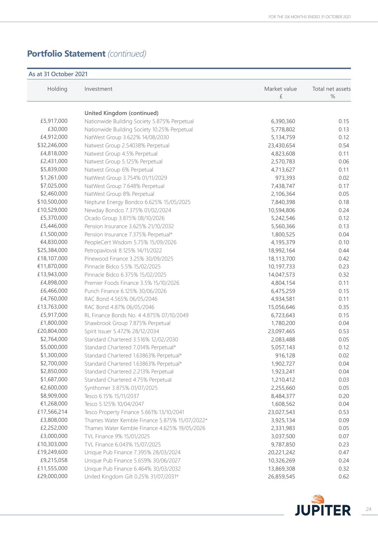| Holding      | Investment                                     | Market value<br>£ | Total net assets<br>$\%$ |  |
|--------------|------------------------------------------------|-------------------|--------------------------|--|
|              | United Kingdom (continued)                     |                   |                          |  |
| £5,917,000   | Nationwide Building Society 5.875% Perpetual   | 6,390,360         | 0.15                     |  |
| £30,000      | Nationwide Building Society 10.25% Perpetual   | 5,778,802         | 0.13                     |  |
| £4,912,000   | NatWest Group 3.622% 14/08/2030                | 5,134,759         | 0.12                     |  |
| \$32,246,000 | Natwest Group 2.54038% Perpetual               | 23,430,654        | 0.54                     |  |
| £4,818,000   | Natwest Group 4.5% Perpetual                   | 4,823,608         | 0.11                     |  |
| £2,431,000   | Natwest Group 5.125% Perpetual                 | 2,570,783         | 0.06                     |  |
| \$5,839,000  | Natwest Group 6% Perpetual                     | 4,713,627         | 0.11                     |  |
| \$1,261,000  | NatWest Group 3.754% 01/11/2029                | 973,393           | 0.02                     |  |
| \$7,025,000  | NatWest Group 7.648% Perpetual                 | 7,438,747         | 0.17                     |  |
| \$2,460,000  | NatWest Group 8% Perpetual                     | 2,106,364         | 0.05                     |  |
| \$10,500,000 | Neptune Energy Bondco 6.625% 15/05/2025        | 7,840,398         | 0.18                     |  |
| £10,529,000  | Newday Bondco 7.375% 01/02/2024                | 10,594,806        | 0.24                     |  |
| £5,370,000   | Ocado Group 3.875% 08/10/2026                  | 5,242,546         | 0.12                     |  |
| £5,446,000   | Pension Insurance 3.625% 21/10/2032            | 5,560,366         | 0.13                     |  |
| £1,500,000   | Pension Insurance 7.375% Perpetual*            | 1,800,525         | 0.04                     |  |
| €4,830,000   | PeopleCert Wisdom 5.75% 15/09/2026             | 4,195,379         | 0.10                     |  |
| \$25,384,000 | Petropavlovsk 8.125% 14/11/2022                | 18,992,164        | 0.44                     |  |
| £18,107,000  | Pinewood Finance 3.25% 30/09/2025              | 18,113,700        | 0.42                     |  |
| €11,870,000  | Pinnacle Bidco 5.5% 15/02/2025                 | 10,197,733        | 0.23                     |  |
| £13,943,000  | Pinnacle Bidco 6.375% 15/02/2025               | 14,047,573        | 0.32                     |  |
| £4,898,000   | Premier Foods Finance 3.5% 15/10/2026          | 4,804,154         | 0.11                     |  |
| £6,466,000   | Punch Finance 6.125% 30/06/2026                | 6,475,259         | 0.15                     |  |
| £4,760,000   | RAC Bond 4.565% 06/05/2046                     | 4,934,581         | 0.11                     |  |
| £13,763,000  | RAC Bond 4.87% 06/05/2046                      | 15,056,646        | 0.35                     |  |
| £5,917,000   | RL Finance Bonds No. 4 4.875% 07/10/2049       | 6,723,643         | 0.15                     |  |
| £1,800,000   | Shawbrook Group 7.875% Perpetual               | 1,780,200         | 0.04                     |  |
| £20,804,000  | Spirit Issuer 5.472% 28/12/2034                | 23,097,465        | 0.53                     |  |
| \$2,764,000  | Standard Chartered 3.516% 12/02/2030           | 2,083,488         | 0.05                     |  |
| \$5,000,000  | Standard Chartered 7.014% Perpetual*           | 5,057,143         | 0.12                     |  |
| \$1,300,000  | Standard Chartered 1.63863% Perpetual*         | 916,128           | 0.02                     |  |
| \$2,700,000  | Standard Chartered 1.63863% Perpetual*         | 1,902,727         | 0.04                     |  |
| \$2,850,000  | Standard Chartered 2.213% Perpetual            | 1,923,241         | 0.04                     |  |
| \$1,687,000  | Standard Chartered 4.75% Perpetual             | 1,210,412         | 0.03                     |  |
| €2,600,000   | Synthomer 3.875% 01/07/2025                    | 2,255,660         | 0.05                     |  |
| \$8,909,000  | Tesco 6.15% 15/11/2037                         | 8,484,377         | 0.20                     |  |
| €1,268,000   | Tesco 5.125% 10/04/2047                        | 1,608,562         | 0.04                     |  |
| £17,566,214  | Tesco Property Finance 5.661% 13/10/2041       | 23,027,543        | 0.53                     |  |
| £3,808,000   | Thames Water Kemble Finance 5.875% 15/07/2022* | 3,925,134         | 0.09                     |  |
| £2,252,000   | Thames Water Kemble Finance 4.625% 19/05/2026  | 2,331,983         | 0.05                     |  |
| £3,000,000   | TVL Finance 9% 15/01/2025                      | 3,037,500         | 0.07                     |  |
| £10,303,000  | TVL Finance 6.043% 15/07/2025                  | 9,787,850         | 0.23                     |  |
| £19,249,600  | Unique Pub Finance 7.395% 28/03/2024           | 20,221,242        | 0.47                     |  |
| £9,215,058   | Unique Pub Finance 5.659% 30/06/2027           | 10,326,269        | 0.24                     |  |
| £11,555,000  | Unique Pub Finance 6.464% 30/03/2032           | 13,869,308        | 0.32                     |  |
| £29,000,000  | United Kingdom Gilt 0.25% 31/07/2031*          | 26,859,545        | 0.62                     |  |

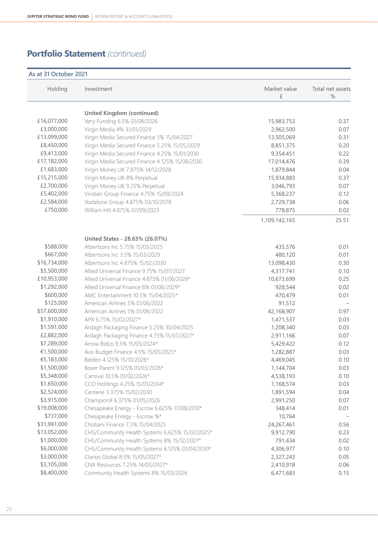| Holding      | Investment                                      | Market value<br>£ | Total net assets<br>$\%$ |
|--------------|-------------------------------------------------|-------------------|--------------------------|
|              | United Kingdom (continued)                      |                   |                          |
| £16,077,000  | Very Funding 6.5% 01/08/2026                    | 15,983,753        | 0.37                     |
| £3,000,000   | Virgin Media 4% 31/01/2029                      | 2,962,500         | 0.07                     |
| £13,099,000  | Virgin Media Secured Finance 5% 15/04/2027      | 13,505,069        | 0.31                     |
| £8,450,000   | Virgin Media Secured Finance 5.25% 15/05/2029   | 8,851,375         | 0.20                     |
| £9,413,000   | Virgin Media Secured Finance 4.25% 15/01/2030   | 9,354,451         | 0.22                     |
| £17,182,000  | Virgin Media Secured Finance 4.125% 15/08/2030  | 17,014,476        | 0.39                     |
| £1,683,000   | Virgin Money UK 7.875% 14/12/2028               | 1,879,844         | 0.04                     |
| £15,215,000  | Virgin Money UK 8% Perpetual                    | 15,934,883        | 0.37                     |
| £2,700,000   | Virgin Money UK 9.25% Perpetual                 | 3,046,793         | 0.07                     |
| £5,402,000   | Viridian Group Finance 4.75% 15/09/2024         | 5,368,237         | 0.12                     |
| £2,584,000   | Vodafone Group 4.875% 03/10/2078                | 2,729,738         | 0.06                     |
| £750,000     | William Hill 4.875% 07/09/2023                  | 778,875           | 0.02                     |
|              |                                                 |                   |                          |
|              |                                                 | 1,109,142,165     | 25.51                    |
|              | United States - 28.63% (26.07%)                 |                   |                          |
| \$588,000    | Albertsons Inc 5.75% 15/03/2025                 | 435,576           | 0.01                     |
| \$667,000    | Albertsons Inc 3.5% 15/03/2029                  | 480,120           | 0.01                     |
| \$16,734,000 | Albertsons Inc 4.875% 15/02/2030                | 13,098,430        | 0.30                     |
| \$5,500,000  | Allied Universal Finance 9.75% 15/07/2027       | 4,317,741         | 0.10                     |
| £10,953,000  | Allied Universal Finance 4.875% 01/06/2028*     | 10,673,699        | 0.25                     |
| \$1,292,000  | Allied Universal Finance 6% 01/06/2029*         | 928,544           | 0.02                     |
| \$600,000    | AMC Entertainment 10.5% 15/04/2025*             | 470,479           | 0.01                     |
| \$125,000    | American Airlines 5% 01/06/2022                 | 91,512            |                          |
| \$57,600,000 | American Airlines 5% 01/06/2022                 | 42,168,907        | 0.97                     |
| \$1,910,000  | APX 6.75% 15/02/2027*                           | 1,471,537         | 0.03                     |
| \$1,591,000  | Ardagh Packaging Finance 5.25% 30/04/2025       | 1,208,340         | 0.03                     |
| £2,882,000   | Ardagh Packaging Finance 4.75% 15/07/2027*      | 2,911,166         | 0.07                     |
| \$7,289,000  | Arrow Bidco 9.5% 15/03/2024*                    | 5,429,422         | 0.12                     |
| €1,500,000   | Avis Budget Finance 4.5% 15/05/2025*            | 1,282,887         | 0.03                     |
| €5,183,000   | Belden 4.125% 15/10/2026*                       | 4,469,045         | 0.10                     |
| \$1,500,000  | Boxer Parent 9.125% 01/03/2026*                 | 1,144,704         | 0.03                     |
| \$5,348,000  | Carnival 10.5% 01/02/2026*                      | 4,538,193         | 0.10                     |
| \$1,650,000  | CCO Holdings 4.25% 15/01/2034*                  | 1,168,574         | 0.03                     |
| \$2,524,000  | Centene 3.375% 15/02/2030                       | 1,891,594         | 0.04                     |
| \$3,915,000  | ChampionX 6.375% 01/05/2026                     | 2,991,250         | 0.07                     |
| \$19,008,000 | Chesapeake Energy - Escrow 6.625% 17/08/2010*   | 348,414           | 0.01                     |
| \$737,000    | Chesapeake Enregy - Escrow %*                   | 10,764            |                          |
| \$31,991,000 | Chobani Finance 7.5% 15/04/2025                 | 24,267,461        |                          |
| \$13,052,000 |                                                 |                   | 0.56<br>0.23             |
|              | CHS/Community Health Systems 6.625% 15/02/2025* | 9,912,790         |                          |
| \$1,000,000  | CHS/Community Health Systems 8% 15/12/2027*     | 791,434           | 0.02                     |
| \$6,000,000  | CHS/Community Health Systems 6.125% 01/04/2030* | 4,306,977         | 0.10                     |
| \$3,000,000  | Clarios Global 8.5% 15/05/2027*                 | 2,327,243         | 0.05                     |
| \$3,105,000  | CNX Resources 7.25% 14/03/2027*                 | 2,410,918         | 0.06                     |
| \$8,400,000  | Community Health Systems 8% 15/03/2026          | 6,471,683         | 0.15                     |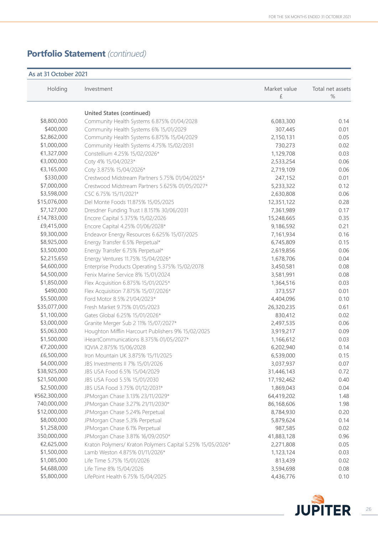| Holding      | Investment                                                 | Market value<br>£ | Total net assets<br>$\%$ |
|--------------|------------------------------------------------------------|-------------------|--------------------------|
|              | <b>United States (continued)</b>                           |                   |                          |
| \$8,800,000  | Community Health Systems 6.875% 01/04/2028                 | 6,083,300         | 0.14                     |
| \$400,000    | Community Health Systems 6% 15/01/2029                     | 307,445           | 0.01                     |
| \$2,862,000  | Community Health Systems 6.875% 15/04/2029                 | 2,150,131         | 0.05                     |
| \$1,000,000  | Community Health Systems 4.75% 15/02/2031                  | 730,273           | 0.02                     |
| €1,327,000   | Constellium 4.25% 15/02/2026*                              | 1,129,708         | 0.03                     |
| €3,000,000   | Coty 4% 15/04/2023*                                        | 2,533,254         | 0.06                     |
| €3,165,000   | Coty 3.875% 15/04/2026*                                    | 2,719,109         | 0.06                     |
| \$330,000    | Crestwood Midstream Partners 5.75% 01/04/2025*             | 247,152           | 0.01                     |
| \$7,000,000  | Crestwood Midstream Partners 5.625% 01/05/2027*            | 5,233,322         | 0.12                     |
| \$3,598,000  | CSC 6.75% 15/11/2021*                                      | 2,630,808         | 0.06                     |
| \$15,076,000 | Del Monte Foods 11.875% 15/05/2025                         | 12,351,122        | 0.28                     |
| \$7,127,000  | Dresdner Funding Trust I 8.151% 30/06/2031                 | 7,361,989         | 0.17                     |
| £14,783,000  | Encore Capital 5.375% 15/02/2026                           | 15,248,665        | 0.35                     |
| £9,415,000   | Encore Capital 4.25% 01/06/2028*                           | 9,186,592         | 0.21                     |
| \$9,300,000  | Endeavor Energy Resources 6.625% 15/07/2025                | 7,161,934         | 0.16                     |
| \$8,925,000  | Energy Transfer 6.5% Perpetual*                            | 6,745,809         | 0.15                     |
| \$3,500,000  | Energy Transfer 6.75% Perpetual*                           | 2,619,856         | 0.06                     |
| \$2,215,650  | Energy Ventures 11.75% 15/04/2026*                         | 1,678,706         | 0.04                     |
| \$4,600,000  | Enterprise Products Operating 5.375% 15/02/2078            | 3,450,581         | 0.08                     |
| \$4,500,000  | Fenix Marine Service 8% 15/01/2024                         | 3,581,991         | 0.08                     |
| \$1,850,000  | Flex Acquisition 6.875% 15/01/2025*                        | 1,364,516         | 0.03                     |
| \$490,000    | Flex Acquisition 7.875% 15/07/2026*                        | 373,557           | 0.01                     |
| \$5,500,000  | Ford Motor 8.5% 21/04/2023*                                | 4,404,096         | 0.10                     |
| \$35,077,000 | Fresh Market 9.75% 01/05/2023                              | 26,320,235        | 0.61                     |
| \$1,100,000  | Gates Global 6.25% 15/01/2026*                             | 830,412           | 0.02                     |
| \$3,000,000  | Granite Merger Sub 2 11% 15/07/2027*                       | 2,497,535         | 0.06                     |
| \$5,063,000  | Houghton Mifflin Harcourt Publishers 9% 15/02/2025         | 3,919,217         | 0.09                     |
| \$1,500,000  | iHeartCommunications 8.375% 01/05/2027*                    | 1,166,612         | 0.03                     |
| €7,200,000   | IQVIA 2.875% 15/06/2028                                    | 6,202,940         | 0.14                     |
| £6,500,000   | Iron Mountain UK 3.875% 15/11/2025                         | 6,539,000         | 0.15                     |
| \$4,000,000  | JBS Investments II 7% 15/01/2026                           | 3,037,937         | 0.07                     |
| \$38,925,000 | JBS USA Food 6.5% 15/04/2029                               | 31,446,143        | 0.72                     |
| \$21,500,000 | JBS USA Food 5.5% 15/01/2030                               | 17,192,462        | 0.40                     |
| \$2,500,000  | JBS USA Food 3.75% 01/12/2031*                             | 1,869,043         | 0.04                     |
| ¥562,300,000 | JPMorgan Chase 3.13% 23/11/2029*                           | 64,419,202        | 1.48                     |
| 740,000,000  | JPMorgan Chase 3.27% 21/11/2030*                           | 86,168,606        | 1.98                     |
| \$12,000,000 | JPMorgan Chase 5.24% Perpetual                             | 8,784,930         | 0.20                     |
| \$8,000,000  | JPMorgan Chase 5.3% Perpetual                              | 5,879,624         | 0.14                     |
| \$1,258,000  | JPMorgan Chase 6.1% Perpetual                              | 987,585           | 0.02                     |
| 350,000,000  | JPMorgan Chase 3.81% 16/09/2050*                           | 41,883,128        | 0.96                     |
| €2,625,000   | Kraton Polymers/ Kraton Polymers Capital 5.25% 15/05/2026* | 2,271,808         | 0.05                     |
| \$1,500,000  | Lamb Weston 4.875% 01/11/2026*                             | 1,123,124         | 0.03                     |
| \$1,085,000  | Life Time 5.75% 15/01/2026                                 | 813,439           | 0.02                     |
| \$4,688,000  | Life Time 8% 15/04/2026                                    | 3,594,698         | 0.08                     |
| \$5,800,000  | LifePoint Health 6.75% 15/04/2025                          | 4,436,776         | 0.10                     |

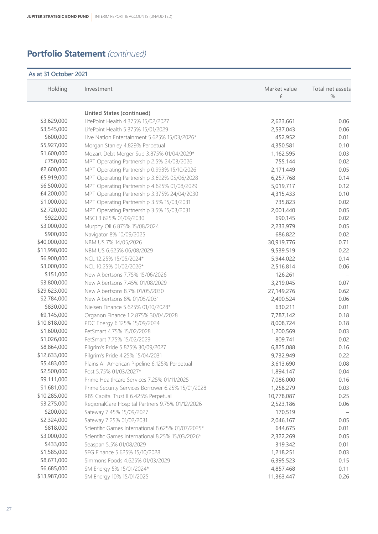| Holding      | Investment                                        | Market value<br>£ | Total net assets<br>$\%$ |
|--------------|---------------------------------------------------|-------------------|--------------------------|
|              | <b>United States (continued)</b>                  |                   |                          |
| \$3,629,000  | LifePoint Health 4.375% 15/02/2027                | 2,623,661         | 0.06                     |
| \$3,545,000  | LifePoint Health 5.375% 15/01/2029                | 2,537,043         | 0.06                     |
| \$600,000    | Live Nation Entertainment 5.625% 15/03/2026*      | 452,952           | 0.01                     |
| \$5,927,000  | Morgan Stanley 4.829% Perpetual                   | 4,350,581         | 0.10                     |
| \$1,600,000  | Mozart Debt Merger Sub 3.875% 01/04/2029*         | 1,162,595         | 0.03                     |
| £750,000     | MPT Operating Partnership 2.5% 24/03/2026         | 755,144           | 0.02                     |
| €2,600,000   | MPT Operating Partnership 0.993% 15/10/2026       | 2,171,449         | 0.05                     |
| £5,919,000   | MPT Operating Partnership 3.692% 05/06/2028       | 6,257,768         | 0.14                     |
| \$6,500,000  | MPT Operating Partnership 4.625% 01/08/2029       | 5,019,717         | 0.12                     |
| £4,200,000   | MPT Operating Partnership 3.375% 24/04/2030       | 4,315,433         | 0.10                     |
| \$1,000,000  | MPT Operating Partnership 3.5% 15/03/2031         | 735,823           | 0.02                     |
| \$2,720,000  | MPT Operating Partnership 3.5% 15/03/2031         | 2,001,440         | 0.05                     |
| \$922,000    | MSCI 3.625% 01/09/2030                            | 690,145           | 0.02                     |
| \$3,000,000  | Murphy Oil 6.875% 15/08/2024                      | 2,233,979         | 0.05                     |
| \$900,000    | Navigator 8% 10/09/2025                           | 686,822           | 0.02                     |
| \$40,000,000 | NBM US 7% 14/05/2026                              | 30,919,776        | 0.71                     |
| \$11,998,000 | NBM US 6.625% 06/08/2029                          | 9,539,519         | 0.22                     |
| \$6,900,000  | NCL 12.25% 15/05/2024*                            | 5,944,022         | 0.14                     |
| \$3,000,000  | NCL 10.25% 01/02/2026*                            | 2,516,814         | 0.06                     |
| \$151,000    | New Albertsons 7.75% 15/06/2026                   | 126,261           |                          |
| \$3,800,000  | New Albertsons 7.45% 01/08/2029                   | 3,219,045         | 0.07                     |
| \$29,623,000 | New Albertsons 8.7% 01/05/2030                    | 27,149,276        | 0.62                     |
| \$2,784,000  | New Albertsons 8% 01/05/2031                      | 2,490,524         | 0.06                     |
| \$830,000    | Nielsen Finance 5.625% 01/10/2028*                | 630,211           | 0.01                     |
| €9,145,000   | Organon Finance 1 2.875% 30/04/2028               | 7,787,142         | 0.18                     |
| \$10,818,000 | PDC Energy 6.125% 15/09/2024                      | 8,008,724         | 0.18                     |
| \$1,600,000  | PetSmart 4.75% 15/02/2028                         | 1,200,569         | 0.03                     |
| \$1,026,000  | PetSmart 7.75% 15/02/2029                         | 809,741           | 0.02                     |
| \$8,864,000  | Pilgrim's Pride 5.875% 30/09/2027                 | 6,825,088         | 0.16                     |
| \$12,633,000 | Pilgrim's Pride 4.25% 15/04/2031                  | 9,732,949         | 0.22                     |
| \$5,483,000  | Plains All American Pipeline 6.125% Perpetual     | 3,613,690         | 0.08                     |
| \$2,500,000  | Post 5.75% 01/03/2027*                            | 1,894,147         | 0.04                     |
| \$9,111,000  | Prime Healthcare Services 7.25% 01/11/2025        | 7,086,000         | 0.16                     |
| \$1,681,000  | Prime Security Services Borrower 6.25% 15/01/2028 | 1,258,279         | 0.03                     |
| \$10,285,000 | RBS Capital Trust II 6.425% Perpetual             | 10,778,087        | 0.25                     |
| \$3,275,000  | RegionalCare Hospital Partners 9.75% 01/12/2026   | 2,523,186         | 0.06                     |
| \$200,000    | Safeway 7.45% 15/09/2027                          | 170,519           |                          |
| \$2,324,000  | Safeway 7.25% 01/02/2031                          | 2,046,167         | 0.05                     |
| \$818,000    | Scientific Games International 8.625% 01/07/2025* | 644,675           | 0.01                     |
| \$3,000,000  | Scientific Games International 8.25% 15/03/2026*  | 2,322,269         | 0.05                     |
| \$433,000    | Seaspan 5.5% 01/08/2029                           | 319,342           | 0.01                     |
| \$1,585,000  | SEG Finance 5.625% 15/10/2028                     | 1,218,251         | 0.03                     |
| \$8,671,000  | Simmons Foods 4.625% 01/03/2029                   | 6,395,523         | 0.15                     |
| \$6,685,000  | SM Energy 5% 15/01/2024*                          | 4,857,468         | 0.11                     |
| \$13,987,000 | SM Energy 10% 15/01/2025                          | 11,363,447        | 0.26                     |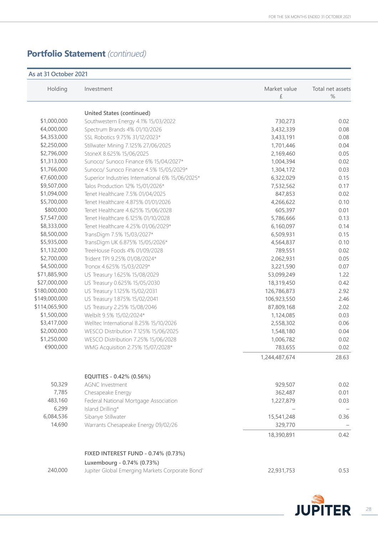| Holding       | Investment                                                  | Market value<br>£ | Total net assets<br>$\%$ |  |
|---------------|-------------------------------------------------------------|-------------------|--------------------------|--|
|               | United States (continued)                                   |                   |                          |  |
| \$1,000,000   | Southwestern Energy 4.1% 15/03/2022                         | 730,273           | 0.02                     |  |
| €4,000,000    | Spectrum Brands 4% 01/10/2026                               | 3,432,339         | 0.08                     |  |
| \$4,353,000   | SSL Robotics 9.75% 31/12/2023*                              | 3,433,191         | 0.08                     |  |
| \$2,250,000   | Stillwater Mining 7.125% 27/06/2025                         | 1,701,446         | 0.04                     |  |
| \$2,796,000   | StoneX 8.625% 15/06/2025                                    | 2,169,460         | 0.05                     |  |
| \$1,313,000   | Sunoco/ Sunoco Finance 6% 15/04/2027*                       | 1,004,394         | 0.02                     |  |
| \$1,766,000   | Sunoco/ Sunoco Finance 4.5% 15/05/2029*                     | 1,304,172         | 0.03                     |  |
| €7,600,000    | Superior Industries International 6% 15/06/2025*            | 6,322,029         | 0.15                     |  |
| \$9,507,000   | Talos Production 12% 15/01/2026*                            | 7,532,562         | 0.17                     |  |
| \$1,094,000   | Tenet Healthcare 7.5% 01/04/2025                            | 847,853           | 0.02                     |  |
| \$5,700,000   | Tenet Healthcare 4.875% 01/01/2026                          | 4,266,622         | 0.10                     |  |
| \$800,000     | Tenet Healthcare 4.625% 15/06/2028                          | 605,397           | 0.01                     |  |
| \$7,547,000   | Tenet Healthcare 6.125% 01/10/2028                          | 5,786,666         | 0.13                     |  |
| \$8,333,000   | Tenet Healthcare 4.25% 01/06/2029*                          | 6,160,097         | 0.14                     |  |
| \$8,500,000   | TransDigm 7.5% 15/03/2027*                                  | 6,509,931         | 0.15                     |  |
| \$5,935,000   | TransDigm UK 6.875% 15/05/2026*                             | 4,564,837         | 0.10                     |  |
| \$1,132,000   | TreeHouse Foods 4% 01/09/2028                               | 789,551           | 0.02                     |  |
| \$2,700,000   | Trident TPI 9.25% 01/08/2024*                               | 2,062,931         | 0.05                     |  |
| \$4,500,000   | Tronox 4.625% 15/03/2029*                                   | 3,221,590         | 0.07                     |  |
| \$71,885,900  | US Treasury 1.625% 15/08/2029                               | 53,099,249        | 1.22                     |  |
| \$27,000,000  | US Treasury 0.625% 15/05/2030                               | 18,319,450        | 0.42                     |  |
| \$180,000,000 | US Treasury 1.125% 15/02/2031                               | 126,786,873       | 2.92                     |  |
| \$149,000,000 | US Treasury 1.875% 15/02/2041                               | 106,923,550       | 2.46                     |  |
| \$114,065,900 | US Treasury 2.25% 15/08/2046                                | 87,809,168        | 2.02                     |  |
| \$1,500,000   | Welbilt 9.5% 15/02/2024*                                    | 1,124,085         | 0.03                     |  |
| \$3,417,000   | Welltec International 8.25% 15/10/2026                      | 2,558,302         | 0.06                     |  |
| \$2,000,000   | WESCO Distribution 7.125% 15/06/2025                        | 1,548,180         | 0.04                     |  |
| \$1,250,000   | WESCO Distribution 7.25% 15/06/2028                         | 1,006,782         | 0.02                     |  |
| €900,000      | WMG Acquisition 2.75% 15/07/2028*                           | 783,655           | 0.02                     |  |
|               |                                                             | 1,244,487,674     | 28.63                    |  |
|               |                                                             |                   |                          |  |
|               | EQUITIES - 0.42% (0.56%)                                    |                   |                          |  |
| 50,329        | <b>AGNC Investment</b>                                      | 929,507           | 0.02                     |  |
| 7,785         | Chesapeake Energy                                           | 362,487           | 0.01                     |  |
| 483,160       | Federal National Mortgage Association                       | 1,227,879         | 0.03                     |  |
| 6,299         | Island Drilling*                                            |                   |                          |  |
| 6,084,536     | Sibanye Stillwater                                          | 15,541,248        | 0.36                     |  |
| 14,690        | Warrants Chesapeake Energy 09/02/26                         | 329,770           |                          |  |
|               |                                                             | 18,390,891        | 0.42                     |  |
|               | FIXED INTEREST FUND - 0.74% (0.73%)                         |                   |                          |  |
|               | Luxembourg - 0.74% (0.73%)                                  |                   |                          |  |
| 240,000       | Jupiter Global Emerging Markets Corporate Bond <sup>+</sup> | 22,931,753        | 0.53                     |  |

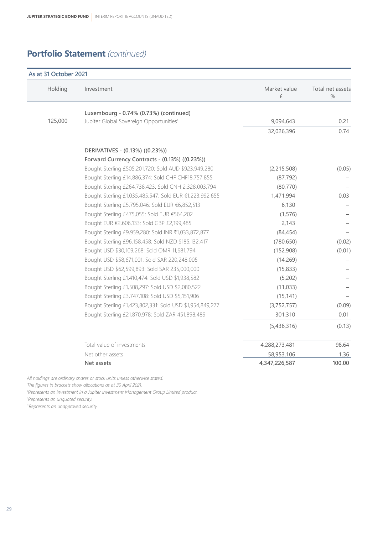#### **As at 31 October 2021**

| Total net assets<br>$\%$ | Market value<br>£ | Investment                                               | Holding |
|--------------------------|-------------------|----------------------------------------------------------|---------|
|                          |                   | Luxembourg - 0.74% (0.73%) (continued)                   |         |
| 0.21                     | 9,094,643         | Jupiter Global Sovereign Opportunities <sup>+</sup>      | 125,000 |
| 0.74                     | 32,026,396        |                                                          |         |
|                          |                   | DERIVATIVES - (0.13%) ((0.23%))                          |         |
|                          |                   | Forward Currency Contracts - (0.13%) ((0.23%))           |         |
| (0.05)                   | (2, 215, 508)     | Bought Sterling £505,201,720: Sold AUD \$923,949,280     |         |
|                          | (87, 792)         | Bought Sterling £14,886,374: Sold CHF CHF18,757,855      |         |
|                          | (80, 770)         | Bought Sterling £264,738,423: Sold CNH 2,328,003,794     |         |
| 0.03                     | 1,471,994         | Bought Sterling £1,035,485,547: Sold EUR €1,223,992,655  |         |
|                          | 6,130             | Bought Sterling £5,795,046: Sold EUR €6,852,513          |         |
|                          | (1, 576)          | Bought Sterling £475,055: Sold EUR €564,202              |         |
|                          | 2,143             | Bought EUR €2,606,133: Sold GBP £2,199,485               |         |
|                          | (84, 454)         | Bought Sterling £9,959,280: Sold INR ₹1,033,872,877      |         |
| (0.02)                   | (780, 650)        | Bought Sterling £96,158,458: Sold NZD \$185,132,417      |         |
| (0.01)                   | (152,908)         | Bought USD \$30,109,268: Sold OMR 11,681,794             |         |
|                          | (14, 269)         | Bought USD \$58,671,001: Sold SAR 220,248,005            |         |
|                          | (15, 833)         | Bought USD \$62,599,893: Sold SAR 235,000,000            |         |
|                          | (5,202)           | Bought Sterling £1,410,474: Sold USD \$1,938,582         |         |
|                          | (11, 033)         | Bought Sterling £1,508,297: Sold USD \$2,080,522         |         |
|                          | (15, 141)         | Bought Sterling £3,747,108: Sold USD \$5,151,906         |         |
| (0.09)                   | (3,752,757)       | Bought Sterling £1,423,802,331: Sold USD \$1,954,849,277 |         |
| 0.01                     | 301,310           | Bought Sterling £21,870,978: Sold ZAR 451,898,489        |         |
| (0.13)                   | (5,436,316)       |                                                          |         |
| 98.64                    | 4,288,273,481     | Total value of investments                               |         |
| 1.36                     | 58,953,106        | Net other assets                                         |         |
| 100.00                   | 4,347,226,587     | Net assets                                               |         |

*All holdings are ordinary shares or stock units unless otherwise stated.*

*The figures in brackets show allocations as at 30 April 2021.*

*† Represents an investment in a Jupiter Investment Management Group Limited product.*

*\* Represents an unquoted security.*

*^Represents an unapproved security.*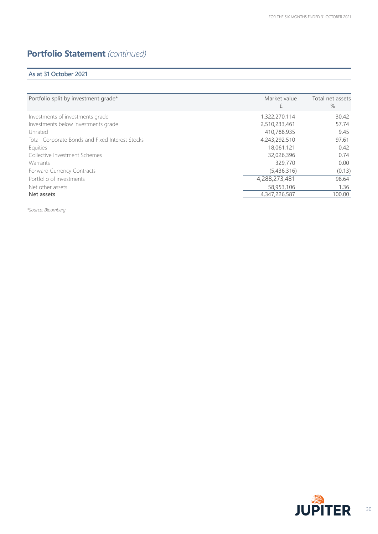#### **As at 31 October 2021**

| Portfolio split by investment grade*            | Market value<br>£ | Total net assets<br>$\%$ |
|-------------------------------------------------|-------------------|--------------------------|
|                                                 |                   |                          |
| Investments of investments grade                | 1,322,270,114     | 30.42                    |
| Investments below investments grade             | 2,510,233,461     | 57.74                    |
| Unrated                                         | 410,788,935       | 9.45                     |
| Total Corporate Bonds and Fixed Interest Stocks | 4,243,292,510     | 97.61                    |
| Equities                                        | 18,061,121        | 0.42                     |
| Collective Investment Schemes                   | 32,026,396        | 0.74                     |
| Warrants                                        | 329,770           | 0.00                     |
| Forward Currency Contracts                      | (5,436,316)       | (0.13)                   |
| Portfolio of investments                        | 4,288,273,481     | 98.64                    |
| Net other assets                                | 58,953,106        | 1.36                     |
| Net assets                                      | 4,347,226,587     | 100.00                   |

*\*Source: Bloomberg*

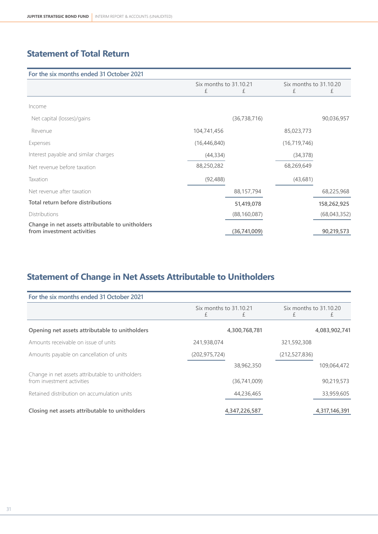### <span id="page-33-0"></span>**Statement of Total Return**

#### **For the six months ended 31 October 2021**

|                                                                                | Six months to 31.10.21<br>£ | £              | Six months to 31.10.20<br>£ | £            |
|--------------------------------------------------------------------------------|-----------------------------|----------------|-----------------------------|--------------|
|                                                                                |                             |                |                             |              |
| Income                                                                         |                             |                |                             |              |
| Net capital (losses)/gains                                                     |                             | (36, 738, 716) |                             | 90,036,957   |
| Revenue                                                                        | 104,741,456                 |                | 85,023,773                  |              |
| Expenses                                                                       | (16, 446, 840)              |                | (16, 719, 746)              |              |
| Interest payable and similar charges                                           | (44, 334)                   |                | (34, 378)                   |              |
| Net revenue before taxation                                                    | 88,250,282                  |                | 68,269,649                  |              |
| Taxation                                                                       | (92, 488)                   |                | (43,681)                    |              |
| Net revenue after taxation                                                     |                             | 88, 157, 794   |                             | 68,225,968   |
| Total return before distributions                                              |                             | 51,419,078     |                             | 158,262,925  |
| <b>Distributions</b>                                                           |                             | (88, 160, 087) |                             | (68,043,352) |
| Change in net assets attributable to unitholders<br>from investment activities |                             | (36,741,009)   |                             | 90,219,573   |

# **Statement of Change in Net Assets Attributable to Unitholders**

| For the six months ended 31 October 2021                                       |                             |               |                             |               |
|--------------------------------------------------------------------------------|-----------------------------|---------------|-----------------------------|---------------|
|                                                                                | Six months to 31.10.21<br>£ | £             | Six months to 31.10.20<br>£ | £.            |
| Opening net assets attributable to unitholders                                 |                             | 4,300,768,781 |                             | 4,083,902,741 |
| Amounts receivable on issue of units                                           | 241,938,074                 |               | 321,592,308                 |               |
| Amounts payable on cancellation of units                                       | (202, 975, 724)             |               | (212, 527, 836)             |               |
|                                                                                |                             | 38,962,350    |                             | 109,064,472   |
| Change in net assets attributable to unitholders<br>from investment activities |                             | (36,741,009)  |                             | 90,219,573    |
| Retained distribution on accumulation units                                    |                             | 44,236,465    |                             | 33,959,605    |
| Closing net assets attributable to unitholders                                 |                             | 4,347,226,587 |                             | 4,317,146,391 |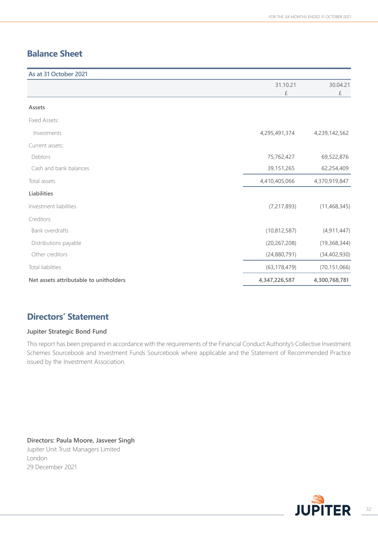### <span id="page-34-0"></span>**Balance Sheet**

| As at 31 October 2021                  |                |                |
|----------------------------------------|----------------|----------------|
|                                        | 31.10.21       | 30.04.21       |
|                                        | £              | £              |
| Assets                                 |                |                |
| Fixed Assets:                          |                |                |
| Investments                            | 4,295,491,374  | 4,239,142,562  |
| Current assets:                        |                |                |
| Debtors                                | 75,762,427     | 69,522,876     |
| Cash and bank balances                 | 39,151,265     | 62,254,409     |
| Total assets                           | 4,410,405,066  | 4,370,919,847  |
| Liabilities                            |                |                |
| Investment liabilities                 | (7, 217, 893)  | (11, 468, 345) |
| Creditors:                             |                |                |
| Bank overdrafts                        | (10, 812, 587) | (4,911,447)    |
| Distributions payable                  | (20, 267, 208) | (19, 368, 344) |
| Other creditors                        | (24,880,791)   | (34, 402, 930) |
| Total liabilities                      | (63, 178, 479) | (70, 151, 066) |
| Net assets attributable to unitholders | 4,347,226,587  | 4,300,768,781  |

### **Directors' Statement**

#### **Jupiter Strategic Bond Fund**

This report has been prepared in accordance with the requirements of the Financial Conduct Authority's Collective Investment Schemes Sourcebook and Investment Funds Sourcebook where applicable and the Statement of Recommended Practice issued by the Investment Association.

**Directors: Paula Moore, Jasveer Singh** Jupiter Unit Trust Managers Limited London 29 December 2021

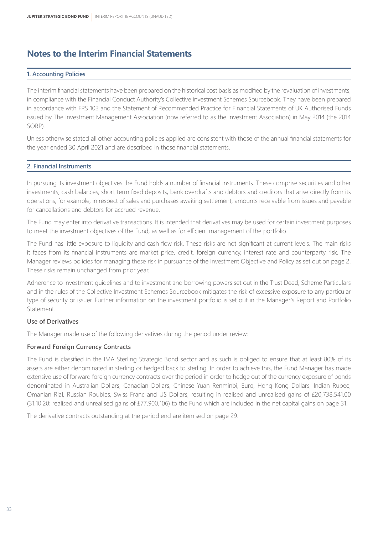### <span id="page-35-0"></span>**Notes to the Interim Financial Statements**

#### **1. Accounting Policies**

The interim financial statements have been prepared on the historical cost basis as modified by the revaluation of investments, in compliance with the Financial Conduct Authority's Collective investment Schemes Sourcebook. They have been prepared in accordance with FRS 102 and the Statement of Recommended Practice for Financial Statements of UK Authorised Funds issued by The Investment Management Association (now referred to as the Investment Association) in May 2014 (the 2014 SORP).

Unless otherwise stated all other accounting policies applied are consistent with those of the annual financial statements for the year ended 30 April 2021 and are described in those financial statements.

#### **2. Financial Instruments**

In pursuing its investment objectives the Fund holds a number of financial instruments. These comprise securities and other investments, cash balances, short term fixed deposits, bank overdrafts and debtors and creditors that arise directly from its operations, for example, in respect of sales and purchases awaiting settlement, amounts receivable from issues and payable for cancellations and debtors for accrued revenue.

The Fund may enter into derivative transactions. It is intended that derivatives may be used for certain investment purposes to meet the investment objectives of the Fund, as well as for efficient management of the portfolio.

The Fund has little exposure to liquidity and cash flow risk. These risks are not significant at current levels. The main risks it faces from its financial instruments are market price, credit, foreign currency, interest rate and counterparty risk. The Manager reviews policies for managing these risk in pursuance of the Investment Objective and Policy as set out on page 2. These risks remain unchanged from prior year.

Adherence to investment guidelines and to investment and borrowing powers set out in the Trust Deed, Scheme Particulars and in the rules of the Collective Investment Schemes Sourcebook mitigates the risk of excessive exposure to any particular type of security or issuer. Further information on the investment portfolio is set out in the Manager's Report and Portfolio Statement.

#### **Use of Derivatives**

The Manager made use of the following derivatives during the period under review:

#### **Forward Foreign Currency Contracts**

The Fund is classified in the IMA Sterling Strategic Bond sector and as such is obliged to ensure that at least 80% of its assets are either denominated in sterling or hedged back to sterling. In order to achieve this, the Fund Manager has made extensive use of forward foreign currency contracts over the period in order to hedge out of the currency exposure of bonds denominated in Australian Dollars, Canadian Dollars, Chinese Yuan Renminbi, Euro, Hong Kong Dollars, Indian Rupee, Omanian Rial, Russian Roubles, Swiss Franc and US Dollars, resulting in realised and unrealised gains of £20,738,541.00 (31.10.20: realised and unrealised gains of £77,900,106) to the Fund which are included in the net capital gains on page 31.

The derivative contracts outstanding at the period end are itemised on page 29.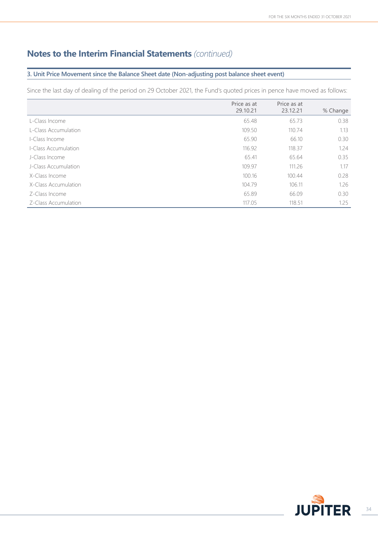### **Notes to the Interim Financial Statements** *(continued)*

### **3. Unit Price Movement since the Balance Sheet date (Non-adjusting post balance sheet event)**

Since the last day of dealing of the period on 29 October 2021, the Fund's quoted prices in pence have moved as follows:

|                      | Price as at<br>29.10.21 | Price as at<br>23.12.21 | % Change |
|----------------------|-------------------------|-------------------------|----------|
|                      |                         |                         |          |
| L-Class Income       | 65.48                   | 65.73                   | 0.38     |
| L-Class Accumulation | 109.50                  | 110.74                  | 1.13     |
| I-Class Income       | 65.90                   | 66.10                   | 0.30     |
| I-Class Accumulation | 116.92                  | 118.37                  | 1.24     |
| J-Class Income       | 65.41                   | 65.64                   | 0.35     |
| J-Class Accumulation | 109.97                  | 111.26                  | 1.17     |
| X-Class Income       | 100.16                  | 100.44                  | 0.28     |
| X-Class Accumulation | 104.79                  | 106.11                  | 1.26     |
| Z-Class Income       | 65.89                   | 66.09                   | 0.30     |
| Z-Class Accumulation | 117.05                  | 118.51                  | 1.25     |

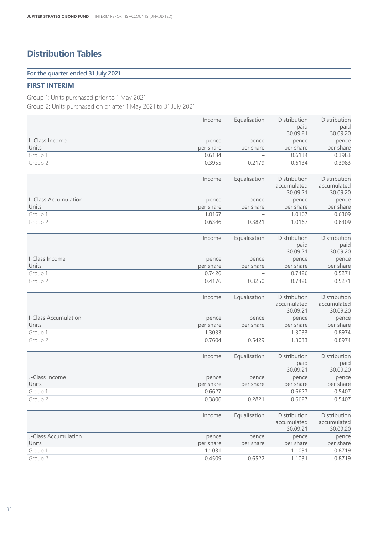### <span id="page-37-0"></span>**Distribution Tables**

#### **For the quarter ended 31 July 2021**

#### **FIRST INTERIM**

Group 1: Units purchased prior to 1 May 2021 Group 2: Units purchased on or after 1 May 2021 to 31 July 2021

|                               | Income             | Equalisation             | Distribution       | Distribution       |
|-------------------------------|--------------------|--------------------------|--------------------|--------------------|
|                               |                    |                          | paid               | paid               |
|                               |                    |                          | 30.09.21           | 30.09.20           |
| L-Class Income                | pence              | pence                    | pence              | pence              |
| Units                         | per share          | per share                | per share          | per share          |
| Group 1                       | 0.6134             |                          | 0.6134             | 0.3983             |
| Group 2                       | 0.3955             | 0.2179                   | 0.6134             | 0.3983             |
|                               |                    |                          |                    |                    |
|                               | Income             | Equalisation             | Distribution       | Distribution       |
|                               |                    |                          | accumulated        | accumulated        |
|                               |                    |                          | 30.09.21           | 30.09.20           |
| L-Class Accumulation<br>Units | pence<br>per share | pence<br>per share       | pence<br>per share | pence<br>per share |
|                               | 1.0167             |                          | 1.0167             | 0.6309             |
| Group 1                       |                    |                          |                    |                    |
| Group 2                       | 0.6346             | 0.3821                   | 1.0167             | 0.6309             |
|                               | Income             | Equalisation             | Distribution       | Distribution       |
|                               |                    |                          | paid               | paid               |
|                               |                    |                          | 30.09.21           | 30.09.20           |
| I-Class Income                | pence              | pence                    | pence              | pence              |
| Units                         | per share          | per share                | per share          | per share          |
| Group 1                       | 0.7426             | $\overline{\phantom{0}}$ | 0.7426             | 0.5271             |
| Group 2                       | 0.4176             | 0.3250                   | 0.7426             | 0.5271             |
|                               |                    |                          |                    |                    |
|                               | Income             | Equalisation             | Distribution       | Distribution       |
|                               |                    |                          | accumulated        | accumulated        |
|                               |                    |                          | 30.09.21           | 30.09.20           |
| I-Class Accumulation          | pence              | pence                    | pence              | pence              |
| Units                         | per share          | per share                | per share          | per share          |
| Group 1                       | 1.3033             |                          | 1.3033             | 0.8974             |
| Group 2                       | 0.7604             | 0.5429                   | 1.3033             | 0.8974             |
|                               |                    |                          |                    |                    |
|                               | Income             | Equalisation             | Distribution       | Distribution       |
|                               |                    |                          | paid               | paid               |
|                               |                    |                          | 30.09.21           | 30.09.20           |
| J-Class Income                | pence              | pence                    | pence              | pence              |
| Units                         | per share          | per share                | per share          | per share          |
| Group 1                       | 0.6627             |                          | 0.6627             | 0.5407             |
| Group 2                       | 0.3806             | 0.2821                   | 0.6627             | 0.5407             |
|                               |                    |                          |                    |                    |
|                               | Income             | Equalisation             | Distribution       | Distribution       |
|                               |                    |                          | accumulated        | accumulated        |
|                               |                    |                          | 30.09.21           | 30.09.20           |
| J-Class Accumulation          | pence              | pence                    | pence              | pence              |
| Units                         | per share          | per share                | per share          | per share          |
| Group 1                       | 1.1031             |                          | 1.1031             | 0.8719             |
| Group 2                       | 0.4509             | 0.6522                   | 1.1031             | 0.8719             |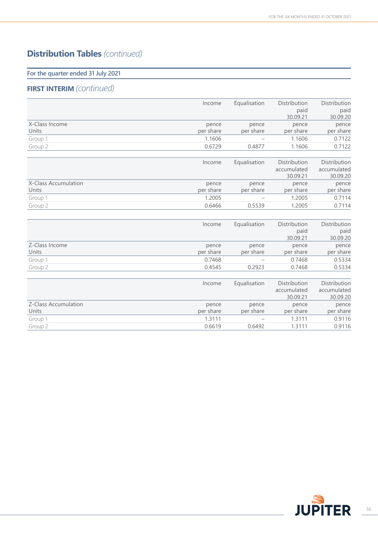# **Distribution Tables** *(continued)*

### **For the quarter ended 31 July 2021**

## **FIRST INTERIM** *(continued)*

|                      | Income    | Equalisation | Distribution            | Distribution            |
|----------------------|-----------|--------------|-------------------------|-------------------------|
|                      |           |              | paid                    | paid                    |
|                      |           |              | 30.09.21                | 30.09.20                |
| X-Class Income       | pence     | pence        | pence                   | pence                   |
| Units                | per share | per share    | per share               | per share               |
| Group 1              | 1.1606    |              | 1.1606                  | 0.7122                  |
| Group 2              | 0.6729    | 0.4877       | 1.1606                  | 0.7122                  |
|                      | Income    | Equalisation | Distribution            | Distribution            |
|                      |           |              | accumulated<br>30.09.21 | accumulated<br>30.09.20 |
| X-Class Accumulation | pence     | pence        | pence                   | pence                   |
| Units                | per share | per share    | per share               | per share               |
| Group 1              | 1.2005    |              | 1.2005                  | 0.7114                  |
| Group 2              | 0.6466    | 0.5539       | 1.2005                  | 0.7114                  |
|                      |           |              |                         |                         |
|                      | Income    | Equalisation | Distribution            | Distribution            |
|                      |           |              | paid                    | paid                    |
|                      |           |              | 30.09.21                | 30.09.20                |
| Z-Class Income       | pence     | pence        | pence                   | pence                   |
| Units                | per share | per share    | per share               | per share               |
| Group 1              | 0.7468    |              | 0.7468                  | 0.5334                  |
| Group 2              | 0.4545    | 0.2923       | 0.7468                  | 0.5334                  |
|                      | Income    | Equalisation | Distribution            | Distribution            |
|                      |           |              | accumulated             | accumulated             |
|                      |           |              | 30.09.21                | 30.09.20                |
| Z-Class Accumulation | pence     | pence        | pence                   | pence                   |
| Units                | per share | per share    | per share               | per share               |
| Group 1              | 1.3111    |              | 1.3111                  | 0.9116                  |
| Group 2              | 0.6619    | 0.6492       | 1.3111                  | 0.9116                  |
|                      |           |              |                         |                         |

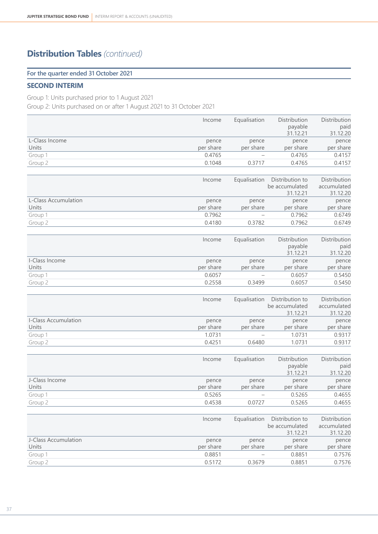### **Distribution Tables** *(continued)*

#### **For the quarter ended 31 October 2021**

#### **SECOND INTERIM**

Group 1: Units purchased prior to 1 August 2021

Group 2: Units purchased on or after 1 August 2021 to 31 October 2021

|                      | Income    | Equalisation | Distribution<br>payable                       | Distribution<br>paid                    |
|----------------------|-----------|--------------|-----------------------------------------------|-----------------------------------------|
|                      |           |              | 31.12.21                                      | 31.12.20                                |
| L-Class Income       | pence     | pence        | pence                                         | pence                                   |
| Units                | per share | per share    | per share                                     | per share                               |
| Group 1              | 0.4765    |              | 0.4765                                        | 0.4157                                  |
| Group 2              | 0.1048    | 0.3717       | 0.4765                                        | 0.4157                                  |
|                      | Income    | Equalisation | Distribution to                               | Distribution                            |
|                      |           |              | be accumulated<br>31.12.21                    | accumulated<br>31.12.20                 |
| L-Class Accumulation | pence     | pence        | pence                                         | pence                                   |
| Units                | per share | per share    | per share                                     | per share                               |
| Group 1              | 0.7962    |              | 0.7962                                        | 0.6749                                  |
| Group 2              | 0.4180    | 0.3782       | 0.7962                                        | 0.6749                                  |
|                      | Income    | Equalisation | Distribution<br>payable<br>31.12.21           | Distribution<br>paid<br>31.12.20        |
| I-Class Income       | pence     | pence        | pence                                         | pence                                   |
| Units                | per share | per share    | per share                                     | per share                               |
| Group 1              | 0.6057    |              | 0.6057                                        | 0.5450                                  |
| Group 2              | 0.2558    | 0.3499       | 0.6057                                        | 0.5450                                  |
|                      | Income    | Equalisation | Distribution to<br>be accumulated<br>31.12.21 | Distribution<br>accumulated<br>31.12.20 |
| I-Class Accumulation | pence     | pence        | pence                                         | pence                                   |
| Units                | per share | per share    | per share                                     | per share                               |
| Group 1              | 1.0731    |              | 1.0731                                        | 0.9317                                  |
| Group 2              | 0.4251    | 0.6480       | 1.0731                                        | 0.9317                                  |
|                      | Income    | Equalisation | Distribution<br>payable                       | Distribution<br>paid                    |

|                    |           |                          | 31.12.21  | 31.12.20  |
|--------------------|-----------|--------------------------|-----------|-----------|
| J-Class Income     | pence     | pence                    | pence     | pence     |
| Units              | per share | per share                | per share | per share |
| Group <sup>1</sup> | 0.5265    | $\overline{\phantom{m}}$ | 0.5265    | 0.4655    |
| Group 2            | 0.4538    | 0.0727                   | 0.5265    | 0.4655    |

|                      | Income    | Equalisation             | Distribution to | Distribution |
|----------------------|-----------|--------------------------|-----------------|--------------|
|                      |           |                          | be accumulated  | accumulated  |
|                      |           |                          | 31.12.21        | 31.12.20     |
| J-Class Accumulation | pence     | pence                    | pence           | pence        |
| Units                | per share | per share                | per share       | per share    |
| Group 1              | 0.8851    | $\overline{\phantom{0}}$ | 0.8851          | 0.7576       |
| Group 2              | 0.5172    | 0.3679                   | 0.8851          | 0.7576       |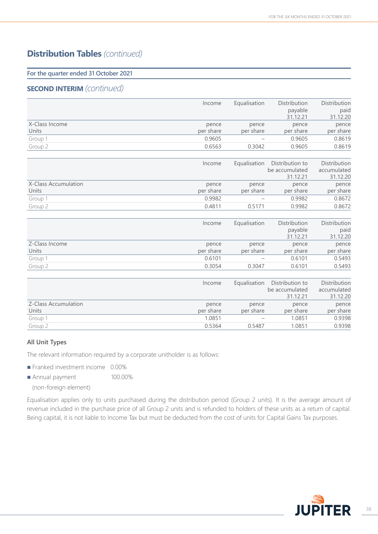### **Distribution Tables** *(continued)*

#### **For the quarter ended 31 October 2021**

#### **SECOND INTERIM** *(continued)*

|                      | Income    | Equalisation | Distribution    | Distribution |
|----------------------|-----------|--------------|-----------------|--------------|
|                      |           |              | payable         | paid         |
|                      |           |              | 31.12.21        | 31.12.20     |
| X-Class Income       | pence     | pence        | pence           | pence        |
| Units                | per share | per share    | per share       | per share    |
| Group 1              | 0.9605    |              | 0.9605          | 0.8619       |
| Group 2              | 0.6563    | 0.3042       | 0.9605          | 0.8619       |
|                      | Income    | Equalisation | Distribution to | Distribution |
|                      |           |              | be accumulated  | accumulated  |
|                      |           |              | 31.12.21        | 31.12.20     |
| X-Class Accumulation | pence     | pence        | pence           | pence        |
| Units                | per share | per share    | per share       | per share    |
| Group 1              | 0.9982    |              | 0.9982          | 0.8672       |
| Group 2              | 0.4811    | 0.5171       | 0.9982          | 0.8672       |
|                      | Income    | Equalisation | Distribution    | Distribution |
|                      |           |              | payable         | paid         |
|                      |           |              | 31.12.21        | 31.12.20     |
| Z-Class Income       | pence     | pence        | pence           | pence        |
| Units                | per share | per share    | per share       | per share    |
| Group 1              | 0.6101    |              | 0.6101          | 0.5493       |
| Group 2              | 0.3054    | 0.3047       | 0.6101          | 0.5493       |
|                      | Income    | Equalisation | Distribution to | Distribution |
|                      |           |              | be accumulated  | accumulated  |
|                      |           |              | 31.12.21        | 31.12.20     |
| Z-Class Accumulation | pence     | pence        | pence           | pence        |
| Units                | per share | per share    | per share       | per share    |
| Group 1              | 1.0851    |              | 1.0851          | 0.9398       |
| Group 2              | 0.5364    | 0.5487       | 1.0851          | 0.9398       |
|                      |           |              |                 |              |

#### **All Unit Types**

The relevant information required by a corporate unitholder is as follows:

- Franked investment income 0.00%
- Annual payment 100.00%
	- (non-foreign element)

Equalisation applies only to units purchased during the distribution period (Group 2 units). It is the average amount of revenue included in the purchase price of all Group 2 units and is refunded to holders of these units as a return of capital. Being capital, it is not liable to Income Tax but must be deducted from the cost of units for Capital Gains Tax purposes.

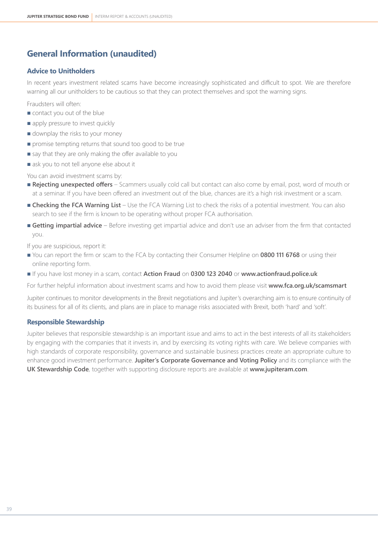### <span id="page-41-0"></span>**General Information (unaudited)**

#### **Advice to Unitholders**

In recent years investment related scams have become increasingly sophisticated and difficult to spot. We are therefore warning all our unitholders to be cautious so that they can protect themselves and spot the warning signs.

Fraudsters will often:

- contact you out of the blue
- nepply pressure to invest quickly
- downplay the risks to your money
- **promise tempting returns that sound too good to be true**
- $\blacksquare$  say that they are only making the offer available to you
- ask you to not tell anyone else about it

You can avoid investment scams by:

- **Rejecting unexpected offers**  Scammers usually cold call but contact can also come by email, post, word of mouth or at a seminar. If you have been offered an investment out of the blue, chances are it's a high risk investment or a scam.
- **Checking the FCA Warning List** Use the FCA Warning List to check the risks of a potential investment. You can also search to see if the firm is known to be operating without proper FCA authorisation.
- **Getting impartial advice**  Before investing get impartial advice and don't use an adviser from the firm that contacted you.

If you are suspicious, report it:

- You can report the firm or scam to the FCA by contacting their Consumer Helpline on **0800 111 6768** or using their online reporting form.
- If you have lost money in a scam, contact **Action Fraud** on **0300 123 2040** or **www.actionfraud.police.uk**

For further helpful information about investment scams and how to avoid them please visit **www.fca.org.uk/scamsmart**

Jupiter continues to monitor developments in the Brexit negotiations and Jupiter's overarching aim is to ensure continuity of its business for all of its clients, and plans are in place to manage risks associated with Brexit, both 'hard' and 'soft'.

#### **Responsible Stewardship**

Jupiter believes that responsible stewardship is an important issue and aims to act in the best interests of all its stakeholders by engaging with the companies that it invests in, and by exercising its voting rights with care. We believe companies with high standards of corporate responsibility, governance and sustainable business practices create an appropriate culture to enhance good investment performance. **Jupiter's Corporate Governance and Voting Policy** and its compliance with the **UK Stewardship Code**, together with supporting disclosure reports are available at **www.jupiteram.com**.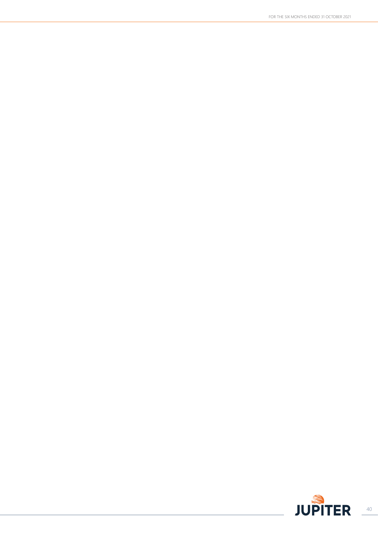